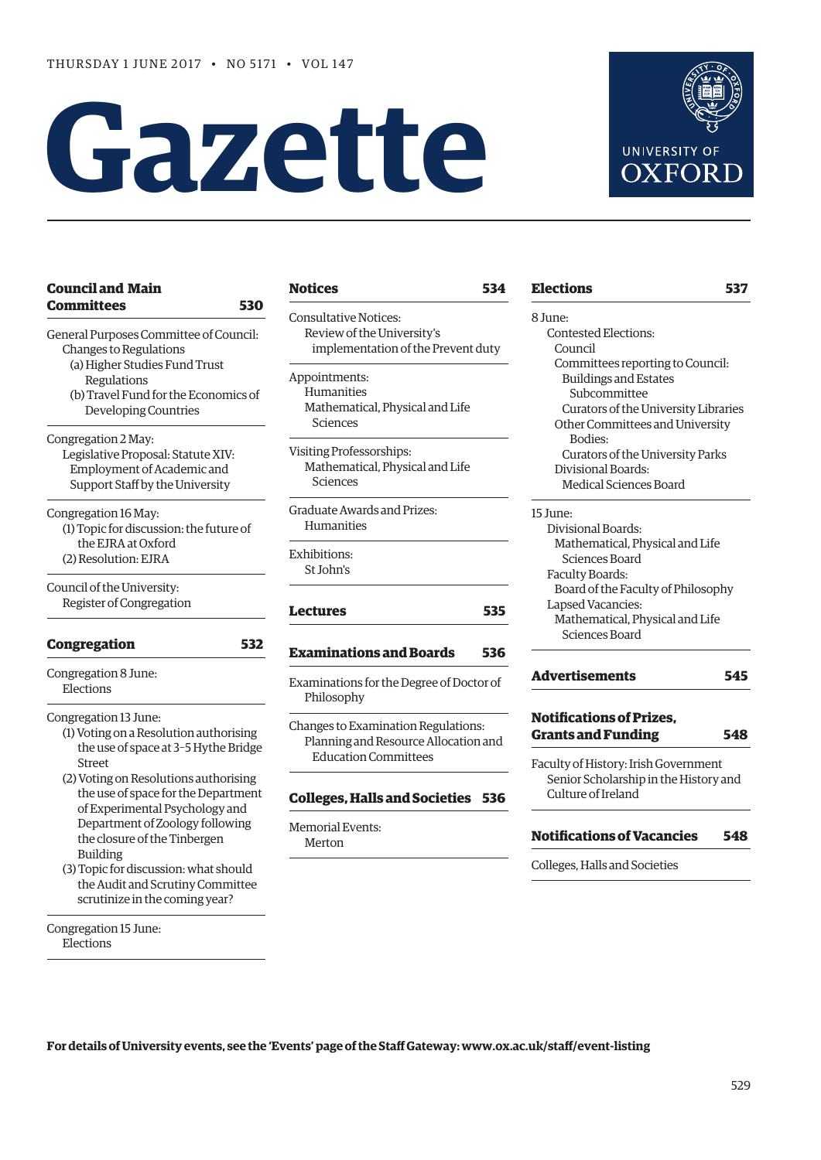# **Gazette**



# **Committees 530** General Purposes Committee of Council: Changes to Regulations (a) Higher Studies Fund Trust Regulations (b) Travel Fund for the Economics of Developing Countries Congregation 2 May: Legislative Proposal: Statute XIV: Employment of Academic and Support Staff by the University Congregation 16 May: (1) Topic for discussion: the future of

**[Council and Main](#page-1-0)** 

 the EJRA at Oxford (2) Resolution: EJRA

Council of the University: Register of Congregation

# **[Congregation 532](#page-3-0)**

Congregation 8 June: Elections

# Congregation 13 June:

- (1) Voting on a Resolution authorising the use of space at 3–5 Hythe Bridge Street
- (2) Voting on Resolutions authorising the use of space for the Department of Experimental Psychology and Department of Zoology following the closure of the Tinbergen Building
- (3) Topic for discussion: what should the Audit and Scrutiny Committee scrutinize in the coming year?

Congregation 15 June: Elections

# **[Notices](#page-5-0) 534**

Consultative Notices: Review of the University's implementation of the Prevent duty

Appointments: Humanities Mathematical, Physical and Life Sciences

Visiting Professorships: Mathematical, Physical and Life Sciences

Graduate Awards and Prizes: Humanities

Exhibitions: St John's

# **[Lectures](#page-6-0) 535**

# **[Examinations and Boards](#page-7-0) 536**

Examinations for the Degree of Doctor of Philosophy

Changes to Examination Regulations: Planning and Resource Allocation and Education Committees

# **[Colleges, Halls and Societies](#page-7-0) 536**

Memorial Events: Merton

# **[Elections](#page-8-0) 537** 8 June:

Contested Elections: Council Committees reporting to Council: Buildings and Estates Subcommittee Curators of the University Libraries Other Committees and University Bodies: Curators of the University Parks Divisional Boards: Medical Sciences Board

15 June:

- Divisional Boards: Mathematical, Physical and Life Sciences Board Faculty Boards: Board of the Faculty of Philosophy Lapsed Vacancies: Mathematical, Physical and Life Sciences Board
- **[Advertisements](#page-16-0) 545**

# **[Notifications of Prizes,](#page-19-0)  Grants and Funding 548**

Faculty of History: Irish Government Senior Scholarship in the History and Culture of Ireland

# **[Notifications of Vacancies 548](#page-19-0)**

Colleges, Halls and Societies

**For details of University events, see the 'Events' page of the Staff Gateway: [www.ox.ac.uk/staff/event-listing](http://www.ox.ac.uk/staff/event-listing)**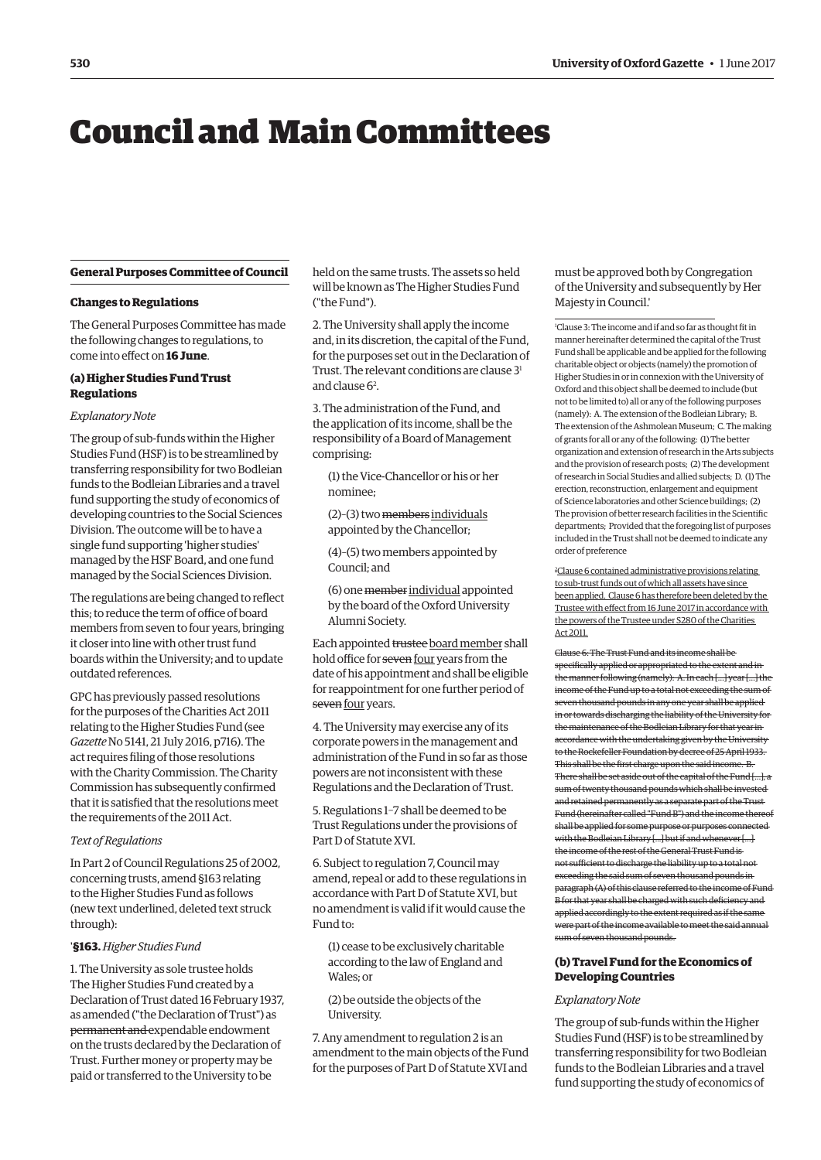# <span id="page-1-0"></span>Council and Main Committees

#### **General Purposes Committee of Council**

#### **Changes to Regulations**

The General Purposes Committee has made the following changes to regulations, to come into effect on **16 June**.

# **(a) Higher Studies Fund Trust Regulations**

#### *Explanatory Note*

The group of sub-funds within the Higher Studies Fund (HSF) is to be streamlined by transferring responsibility for two Bodleian funds to the Bodleian Libraries and a travel fund supporting the study of economics of developing countries to the Social Sciences Division. The outcome will be to have a single fund supporting 'higher studies' managed by the HSF Board, and one fund managed by the Social Sciences Division.

The regulations are being changed to reflect this; to reduce the term of office of board members from seven to four years, bringing it closer into line with other trust fund boards within the University; and to update outdated references.

GPC has previously passed resolutions for the purposes of the Charities Act 2011 relating to the Higher Studies Fund (see *Gazette* No 5141, 21 July 2016, p716). The act requires filing of those resolutions with the Charity Commission. The Charity Commission has subsequently confirmed that it is satisfied that the resolutions meet the requirements of the 2011 Act.

#### *Text of Regulations*

In Part 2 of Council Regulations 25 of 2002, concerning trusts, amend §163 relating to the Higher Studies Fund as follows (new text underlined, deleted text struck through):

#### '**§163.** *Higher Studies Fund*

1. The University as sole trustee holds The Higher Studies Fund created by a Declaration of Trust dated 16 February 1937, as amended ("the Declaration of Trust") as permanent and expendable endowment on the trusts declared by the Declaration of Trust. Further money or property may be paid or transferred to the University to be

held on the same trusts. The assets so held will be known as The Higher Studies Fund ("the Fund").

2. The University shall apply the income and, in its discretion, the capital of the Fund, for the purposes set out in the Declaration of Trust. The relevant conditions are clause 3<sup>1</sup> and clause 6<sup>2</sup>.

3. The administration of the Fund, and the application of its income, shall be the responsibility of a Board of Management comprising:

(1) the Vice-Chancellor or his or her nominee;

- (2)–(3) two members individuals appointed by the Chancellor;
- (4)–(5) two members appointed by Council; and

(6) one member individual appointed by the board of the Oxford University Alumni Society.

Each appointed trustee board member shall hold office for seven four years from the date of his appointment and shall be eligible for reappointment for one further period of seven four years.

4. The University may exercise any of its corporate powers in the management and administration of the Fund in so far as those powers are not inconsistent with these Regulations and the Declaration of Trust.

5. Regulations 1–7 shall be deemed to be Trust Regulations under the provisions of Part D of Statute XVI.

6. Subject to regulation 7, Council may amend, repeal or add to these regulations in accordance with Part D of Statute XVI, but no amendment is valid if it would cause the Fund to:

(1) cease to be exclusively charitable according to the law of England and Wales; or

(2) be outside the objects of the University.

7. Any amendment to regulation 2 is an amendment to the main objects of the Fund for the purposes of Part D of Statute XVI and

# must be approved both by Congregation of the University and subsequently by Her Majesty in Council.'

1 Clause 3: The income and if and so far as thought fit in manner hereinafter determined the capital of the Trust Fund shall be applicable and be applied for the following charitable object or objects (namely) the promotion of Higher Studies in or in connexion with the University of Oxford and this object shall be deemed to include (but not to be limited to) all or any of the following purposes (namely): A. The extension of the Bodleian Library; B. The extension of the Ashmolean Museum; C. The making of grants for all or any of the following: (1) The better organization and extension of research in the Arts subjects and the provision of research posts; (2) The development of research in Social Studies and allied subjects; D. (1) The erection, reconstruction, enlargement and equipment of Science laboratories and other Science buildings; (2) The provision of better research facilities in the Scientific departments; Provided that the foregoing list of purposes included in the Trust shall not be deemed to indicate any order of preference

2 Clause 6 contained administrative provisions relating to sub-trust funds out of which all assets have since been applied. Clause 6 has therefore been deleted by the Trustee with effect from 16 June 2017 in accordance with the powers of the Trustee under S280 of the Charities Act 2011.

Clause 6: The Trust Fund and its income shall be specifically applied or appropriated to the extent and in the manner following (namely): A. In each […] year […] the income of the Fund up to a total not exceeding the sum of seven thousand pounds in any one year shall be applied in or towards discharging the liability of the University for the maintenance of the Bodleian Library for that year in accordance with the undertaking given by the University to the Rockefeller Foundation by decree of 25 April 1933. This shall be the first charge upon the said income. B. There shall be set aside out of the capital of the Fund […], a sum of twenty thousand pounds which shall be invested and retained permanently as a separate part of the Trust Fund (hereinafter called "Fund B") and the income thereof shall be applied for some purpose or purposes connected with the Bodleian Library [...] but if and whenever […] the income of the rest of the General Trust Fund is not sufficient to discharge the liability up to a total not exceeding the said sum of seven thousand pounds in paragraph (A) of this clause referred to the income of Fund B for that year shall be charged with such deficiency and applied accordingly to the extent required as if the same were part of the income available to meet the said annual

# **(b) Travel Fund for the Economics of Developing Countries**

#### *Explanatory Note*

sum of seven thousand pounds.

The group of sub-funds within the Higher Studies Fund (HSF) is to be streamlined by transferring responsibility for two Bodleian funds to the Bodleian Libraries and a travel fund supporting the study of economics of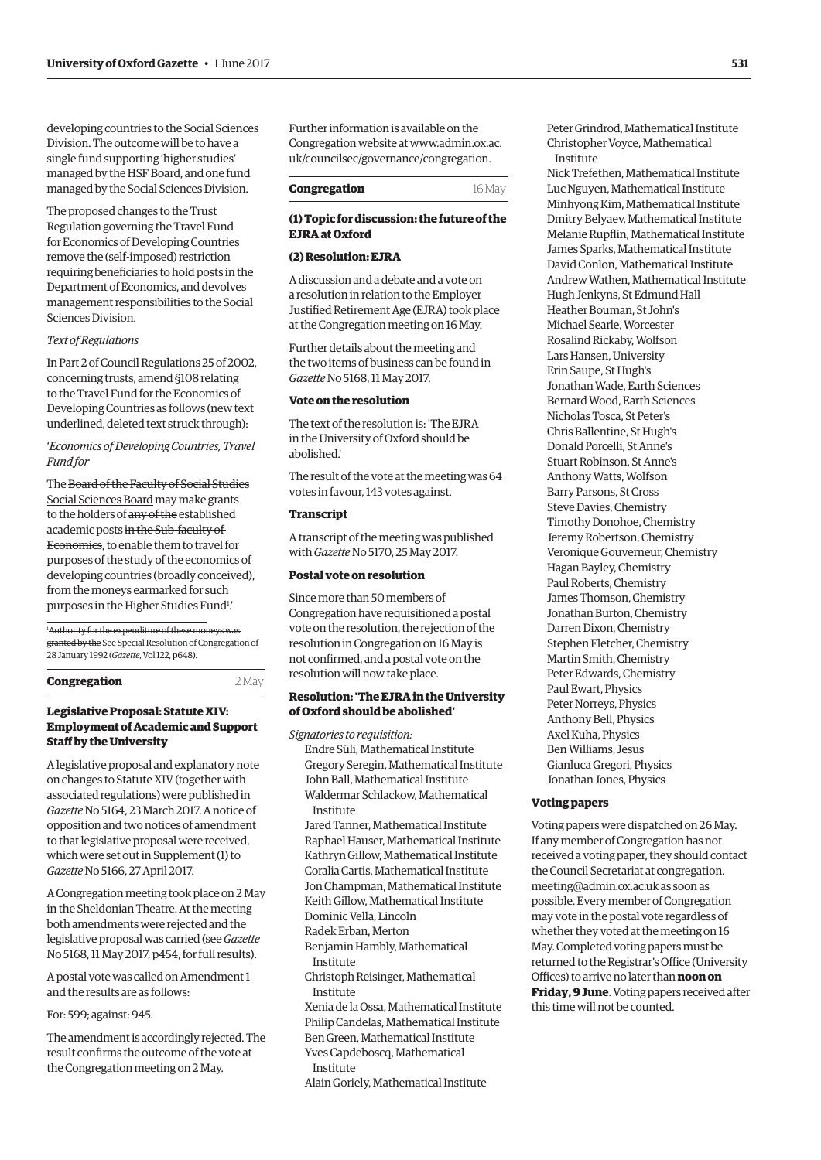developing countries to the Social Sciences Division. The outcome will be to have a single fund supporting 'higher studies' managed by the HSF Board, and one fund managed by the Social Sciences Division.

The proposed changes to the Trust Regulation governing the Travel Fund for Economics of Developing Countries remove the (self-imposed) restriction requiring beneficiaries to hold posts in the Department of Economics, and devolves management responsibilities to the Social Sciences Division.

# *Text of Regulations*

In Part 2 of Council Regulations 25 of 2002, concerning trusts, amend §108 relating to the Travel Fund for the Economics of Developing Countries as follows (new text underlined, deleted text struck through):

'*Economics of Developing Countries, Travel Fund for*

The Board of the Faculty of Social Studies Social Sciences Board may make grants to the holders of any of the established academic posts in the Sub-faculty of Economics, to enable them to travel for purposes of the study of the economics of developing countries (broadly conceived), from the moneys earmarked for such purposes in the Higher Studies Fund<sup>1</sup>.

1 Authority for the expenditure of these moneys was granted by the See Special Resolution of Congregation of 28 January 1992 (*Gazette*, Vol 122, p648).

**Congregation** 2 May

# **Legislative Proposal: Statute XIV: Employment of Academic and Support Staff by the University**

A legislative proposal and explanatory note on changes to Statute XIV (together with associated regulations) were published in *Gazette* No 5164, 23 March 2017. A notice of opposition and two notices of amendment to that legislative proposal were received, which were set out in Supplement (1) to *Gazette* No 5166, 27 April 2017.

A Congregation meeting took place on 2 May in the Sheldonian Theatre. At the meeting both amendments were rejected and the legislative proposal was carried (see *Gazette* No 5168, 11 May 2017, p454, for full results).

A postal vote was called on Amendment 1 and the results are as follows:

For: 599; against: 945.

The amendment is accordingly rejected. The result confirms the outcome of the vote at the Congregation meeting on 2 May.

Further information is available on the [Congregation website at www.admin.ox.ac.](www.admin.ox.ac.uk/councilsec/gorvernance/congregation) uk/councilsec/governance/congregation.

| Congregation | 16 May |
|--------------|--------|
|              |        |

# **(1) Topic for discussion: the future of the EJRA at Oxford**

# **(2) Resolution: EJRA**

A discussion and a debate and a vote on a resolution in relation to the Employer Justified Retirement Age (EJRA) took place at the Congregation meeting on 16 May.

Further details about the meeting and the two items of business can be found in *Gazette* No 5168, 11 May 2017.

# **Vote on the resolution**

The text of the resolution is: 'The EJRA in the University of Oxford should be abolished.'

The result of the vote at the meeting was 64 votes in favour, 143 votes against.

#### **Transcript**

A transcript of the meeting was published with *Gazette* No 5170, 25 May 2017.

#### **Postal vote on resolution**

Since more than 50 members of Congregation have requisitioned a postal vote on the resolution, the rejection of the resolution in Congregation on 16 May is not confirmed, and a postal vote on the resolution will now take place.

## **Resolution: 'The EJRA in the University of Oxford should be abolished'**

*Signatories to requisition:*

Endre Süli, Mathematical Institute Gregory Seregin, Mathematical Institute John Ball, Mathematical Institute Waldermar Schlackow, Mathematical Institute

Jared Tanner, Mathematical Institute Raphael Hauser, Mathematical Institute Kathryn Gillow, Mathematical Institute Coralia Cartis, Mathematical Institute Jon Champman, Mathematical Institute Keith Gillow, Mathematical Institute

Dominic Vella, Lincoln

Radek Erban, Merton

Benjamin Hambly, Mathematical Institute

Christoph Reisinger, Mathematical Institute

Xenia de la Ossa, Mathematical Institute Philip Candelas, Mathematical Institute Ben Green, Mathematical Institute

Yves Capdeboscq, Mathematical Institute

Alain Goriely, Mathematical Institute

Peter Grindrod, Mathematical Institute Christopher Voyce, Mathematical Institute

Nick Trefethen, Mathematical Institute Luc Nguyen, Mathematical Institute Minhyong Kim, Mathematical Institute Dmitry Belyaev, Mathematical Institute Melanie Rupflin, Mathematical Institute James Sparks, Mathematical Institute David Conlon, Mathematical Institute Andrew Wathen, Mathematical Institute Hugh Jenkyns, St Edmund Hall Heather Bouman, St John's Michael Searle, Worcester Rosalind Rickaby, Wolfson Lars Hansen, University Erin Saupe, St Hugh's Jonathan Wade, Earth Sciences Bernard Wood, Earth Sciences Nicholas Tosca, St Peter's Chris Ballentine, St Hugh's Donald Porcelli, St Anne's Stuart Robinson, St Anne's Anthony Watts, Wolfson Barry Parsons, St Cross Steve Davies, Chemistry Timothy Donohoe, Chemistry Jeremy Robertson, Chemistry Veronique Gouverneur, Chemistry Hagan Bayley, Chemistry Paul Roberts, Chemistry James Thomson, Chemistry Jonathan Burton, Chemistry Darren Dixon, Chemistry Stephen Fletcher, Chemistry Martin Smith, Chemistry Peter Edwards, Chemistry Paul Ewart, Physics Peter Norreys, Physics Anthony Bell, Physics Axel Kuha, Physics Ben Williams, Jesus Gianluca Gregori, Physics Jonathan Jones, Physics

#### **Voting papers**

Voting papers were dispatched on 26 May. If any member of Congregation has not received a voting paper, they should contact [the Council Secretariat at congregation.](mailto:congregation.meeting@admin.ox.ac.uk) meeting@admin.ox.ac.uk as soon as possible. Every member of Congregation may vote in the postal vote regardless of whether they voted at the meeting on 16 May. Completed voting papers must be returned to the Registrar's Office (University Offices) to arrive no later than **noon on Friday, 9 June**. Voting papers received after this time will not be counted.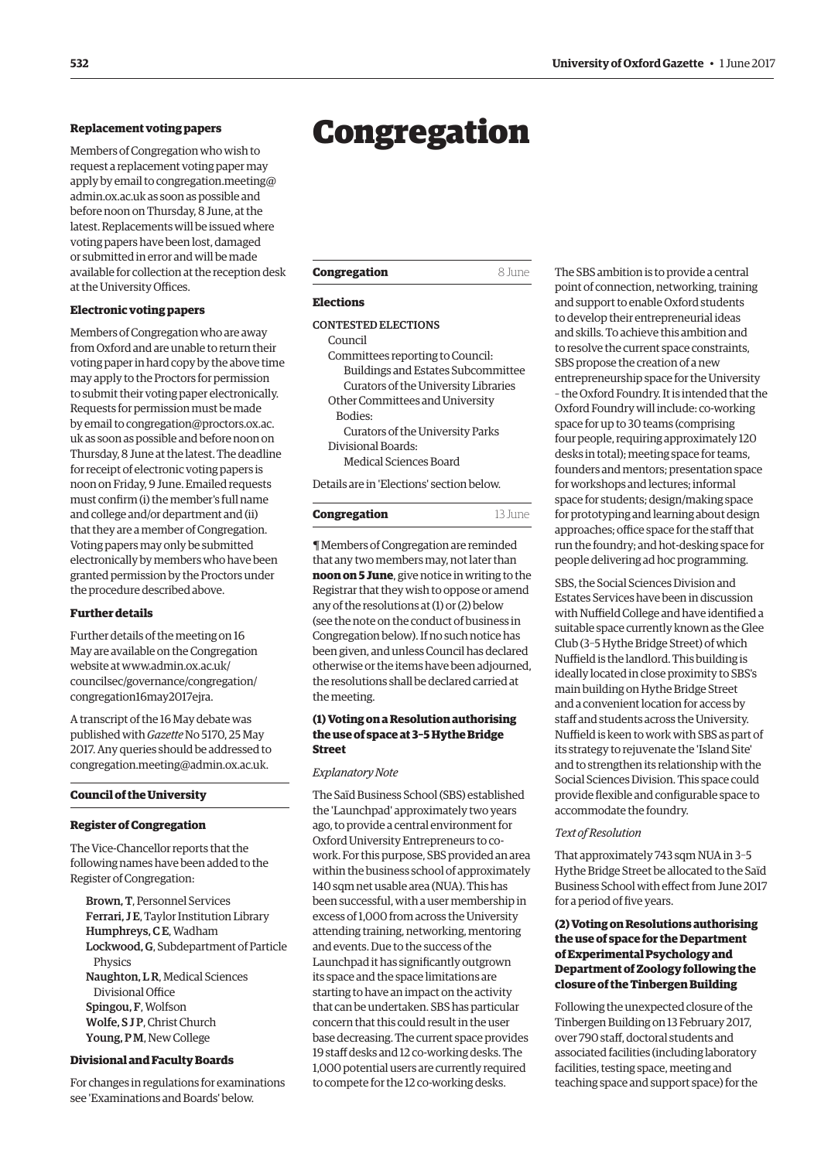Members of Congregation who wish to request a replacement voting paper may apply by email to congregation.meeting@ admin.ox.ac.uk as soon as possible and before noon on Thursday, 8 June, at the latest. Replacements will be issued where voting papers have been lost, damaged or submitted in error and will be made available for collection at the reception desk at the University Offices.

# **Electronic voting papers**

Members of Congregation who are away from Oxford and are unable to return their voting paper in hard copy by the above time may apply to the Proctors for permission to submit their voting paper electronically. Requests for permission must be made by email to congregation@proctors.ox.ac. [uk as soon as possible and before noon on](mailto:congregation@proctors.ox.ac.uk)  Thursday, 8 June at the latest. The deadline for receipt of electronic voting papers is noon on Friday, 9 June. Emailed requests must confirm (i) the member's full name and college and/or department and (ii) that they are a member of Congregation. Voting papers may only be submitted electronically by members who have been granted permission by the Proctors under the procedure described above.

# **Further details**

Further details of the meeting on 16 May are available on the Congregation website at [www.admin.ox.ac.uk/](http://www.admin.ox.ac.uk/) councilsec/governance/congregation/ congregation16may2017ejra.

A transcript of the 16 May debate was published with *Gazette* No 5170, 25 May 2017. Any queries should be addressed to [congregation.meeting@admin.ox.ac.uk.](mailto:congregation.meeting@admin.ox.ac.uk)

#### **Council of the University**

#### **Register of Congregation**

The Vice-Chancellor reports that the following names have been added to the Register of Congregation:

Brown, T, Personnel Services Ferrari, J E, Taylor Institution Library Humphreys, CE, Wadham Lockwood, G, Subdepartment of Particle Physics Naughton, L R, Medical Sciences Divisional Office Spingou, F, Wolfson Wolfe, S J P, Christ Church Young, P M, New College

# **Divisional and Faculty Boards**

For changes in regulations for examinations see 'Examinations and Boards' below.

# <span id="page-3-0"></span>Replacement voting papers<br> **Congregation**

| 8 June |
|--------|
|        |

# **Elections**

# CONTESTED ELECTIONS

Council Committees reporting to Council: Buildings and Estates Subcommittee Curators of the University Libraries Other Committees and University Bodies:

Curators of the University Parks Divisional Boards:

Medical Sciences Board

Details are in 'Elections' section below.

| Congregation | 13 June |
|--------------|---------|
|--------------|---------|

¶ Members of Congregation are reminded that any two members may, not later than **noon on 5 June**, give notice in writing to the Registrar that they wish to oppose or amend any of the resolutions at (1) or (2) below (see the note on the conduct of business in Congregation below). If no such notice has been given, and unless Council has declared otherwise or the items have been adjourned, the resolutions shall be declared carried at the meeting.

# **(1) Voting on a Resolution authorising the use of space at 3–5 Hythe Bridge Street**

#### *Explanatory Note*

The Saïd Business School (SBS) established the 'Launchpad' approximately two years ago, to provide a central environment for Oxford University Entrepreneurs to cowork. For this purpose, SBS provided an area within the business school of approximately 140 sqm net usable area (NUA). This has been successful, with a user membership in excess of 1,000 from across the University attending training, networking, mentoring and events. Due to the success of the Launchpad it has significantly outgrown its space and the space limitations are starting to have an impact on the activity that can be undertaken. SBS has particular concern that this could result in the user base decreasing. The current space provides 19 staff desks and 12 co-working desks. The 1,000 potential users are currently required to compete for the 12 co-working desks.

The SBS ambition is to provide a central point of connection, networking, training and support to enable Oxford students to develop their entrepreneurial ideas and skills. To achieve this ambition and to resolve the current space constraints, SBS propose the creation of a new entrepreneurship space for the University – the Oxford Foundry. It is intended that the Oxford Foundry will include: co-working space for up to 30 teams (comprising four people, requiring approximately 120 desks in total); meeting space for teams, founders and mentors; presentation space for workshops and lectures; informal space for students; design/making space for prototyping and learning about design approaches; office space for the staff that run the foundry; and hot-desking space for people delivering ad hoc programming.

SBS, the Social Sciences Division and Estates Services have been in discussion with Nuffield College and have identified a suitable space currently known as the Glee Club (3–5 Hythe Bridge Street) of which Nuffield is the landlord. This building is ideally located in close proximity to SBS's main building on Hythe Bridge Street and a convenient location for access by staff and students across the University. Nuffield is keen to work with SBS as part of its strategy to rejuvenate the 'Island Site' and to strengthen its relationship with the Social Sciences Division. This space could provide flexible and configurable space to accommodate the foundry.

#### *Text of Resolution*

That approximately 743 sqm NUA in 3-5 Hythe Bridge Street be allocated to the Saïd Business School with effect from June 2017 for a period of five years.

# **(2) Voting on Resolutions authorising the use of space for the Department of Experimental Psychology and Department of Zoology following the closure of the Tinbergen Building**

Following the unexpected closure of the Tinbergen Building on 13 February 2017, over 790 staff, doctoral students and associated facilities (including laboratory facilities, testing space, meeting and teaching space and support space) for the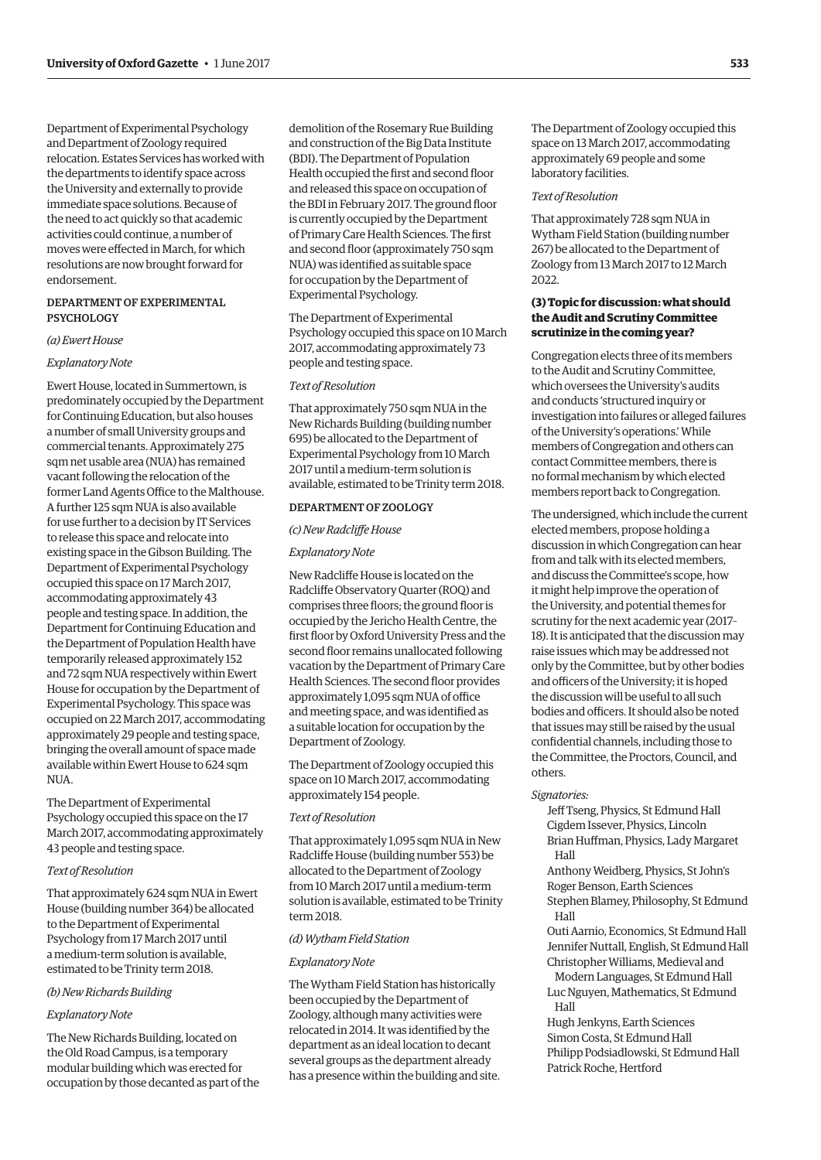Department of Experimental Psychology and Department of Zoology required relocation. Estates Services has worked with the departments to identify space across the University and externally to provide immediate space solutions. Because of the need to act quickly so that academic activities could continue, a number of moves were effected in March, for which resolutions are now brought forward for endorsement.

# DEPARTMENT OF EXPERIMENTAL PSYCHOLOGY

#### *(a) Ewert House*

#### *Explanatory Note*

Ewert House, located in Summertown, is predominately occupied by the Department for Continuing Education, but also houses a number of small University groups and commercial tenants. Approximately 275 sqm net usable area (NUA) has remained vacant following the relocation of the former Land Agents Office to the Malthouse. A further 125 sqm NUA is also available for use further to a decision by IT Services to release this space and relocate into existing space in the Gibson Building. The Department of Experimental Psychology occupied this space on 17 March 2017, accommodating approximately 43 people and testing space. In addition, the Department for Continuing Education and the Department of Population Health have temporarily released approximately 152 and 72 sqm NUA respectively within Ewert House for occupation by the Department of Experimental Psychology. This space was occupied on 22 March 2017, accommodating approximately 29 people and testing space, bringing the overall amount of space made available within Ewert House to 624 sqm **NUA** 

The Department of Experimental Psychology occupied this space on the 17 March 2017, accommodating approximately 43 people and testing space.

# *Text of Resolution*

That approximately 624 sqm NUA in Ewert House (building number 364) be allocated to the Department of Experimental Psychology from 17 March 2017 until a medium-term solution is available, estimated to be Trinity term 2018.

#### *(b) New Richards Building*

#### *Explanatory Note*

The New Richards Building, located on the Old Road Campus, is a temporary modular building which was erected for occupation by those decanted as part of the

demolition of the Rosemary Rue Building and construction of the Big Data Institute (BDI). The Department of Population Health occupied the first and second floor and released this space on occupation of the BDI in February 2017. The ground floor is currently occupied by the Department of Primary Care Health Sciences. The first and second floor (approximately 750 sqm NUA) was identified as suitable space for occupation by the Department of Experimental Psychology.

The Department of Experimental Psychology occupied this space on 10 March 2017, accommodating approximately 73 people and testing space.

# *Text of Resolution*

That approximately 750 sqm NUA in the New Richards Building (building number 695) be allocated to the Department of Experimental Psychology from 10 March 2017 until a medium-term solution is available, estimated to be Trinity term 2018.

# DEPARTMENT OF ZOOLOGY

#### *(c) New Radcliffe House*

# *Explanatory Note*

New Radcliffe House is located on the Radcliffe Observatory Quarter (ROQ) and comprises three floors; the ground floor is occupied by the Jericho Health Centre, the first floor by Oxford University Press and the second floor remains unallocated following vacation by the Department of Primary Care Health Sciences. The second floor provides approximately 1,095 sqm NUA of office and meeting space, and was identified as a suitable location for occupation by the Department of Zoology.

The Department of Zoology occupied this space on 10 March 2017, accommodating approximately 154 people.

#### *Text of Resolution*

That approximately 1,095 sqm NUA in New Radcliffe House (building number 553) be allocated to the Department of Zoology from 10 March 2017 until a medium-term solution is available, estimated to be Trinity term 2018.

#### *(d) Wytham Field Station*

#### *Explanatory Note*

The Wytham Field Station has historically been occupied by the Department of Zoology, although many activities were relocated in 2014. It was identified by the department as an ideal location to decant several groups as the department already has a presence within the building and site. The Department of Zoology occupied this space on 13 March 2017, accommodating approximately 69 people and some laboratory facilities.

#### *Text of Resolution*

That approximately 728 sqm NUA in Wytham Field Station (building number 267) be allocated to the Department of Zoology from 13 March 2017 to 12 March 2022.

# **(3) Topic for discussion: what should the Audit and Scrutiny Committee scrutinize in the coming year?**

Congregation elects three of its members to the Audit and Scrutiny Committee, which oversees the University's audits and conducts 'structured inquiry or investigation into failures or alleged failures of the University's operations.' While members of Congregation and others can contact Committee members, there is no formal mechanism by which elected members report back to Congregation.

The undersigned, which include the current elected members, propose holding a discussion in which Congregation can hear from and talk with its elected members, and discuss the Committee's scope, how it might help improve the operation of the University, and potential themes for scrutiny for the next academic year (2017– 18). It is anticipated that the discussion may raise issues which may be addressed not only by the Committee, but by other bodies and officers of the University; it is hoped the discussion will be useful to all such bodies and officers. It should also be noted that issues may still be raised by the usual confidential channels, including those to the Committee, the Proctors, Council, and others.

#### *Signatories:*

Jeff Tseng, Physics, St Edmund Hall Cigdem Issever, Physics, Lincoln Brian Huffman, Physics, Lady Margaret Hall

Anthony Weidberg, Physics, St John's Roger Benson, Earth Sciences Stephen Blamey, Philosophy, St Edmund

Hall

Outi Aarnio, Economics, St Edmund Hall Jennifer Nuttall, English, St Edmund Hall Christopher Williams, Medieval and

Modern Languages, St Edmund Hall Luc Nguyen, Mathematics, St Edmund Hall

Hugh Jenkyns, Earth Sciences Simon Costa, St Edmund Hall Philipp Podsiadlowski, St Edmund Hall Patrick Roche, Hertford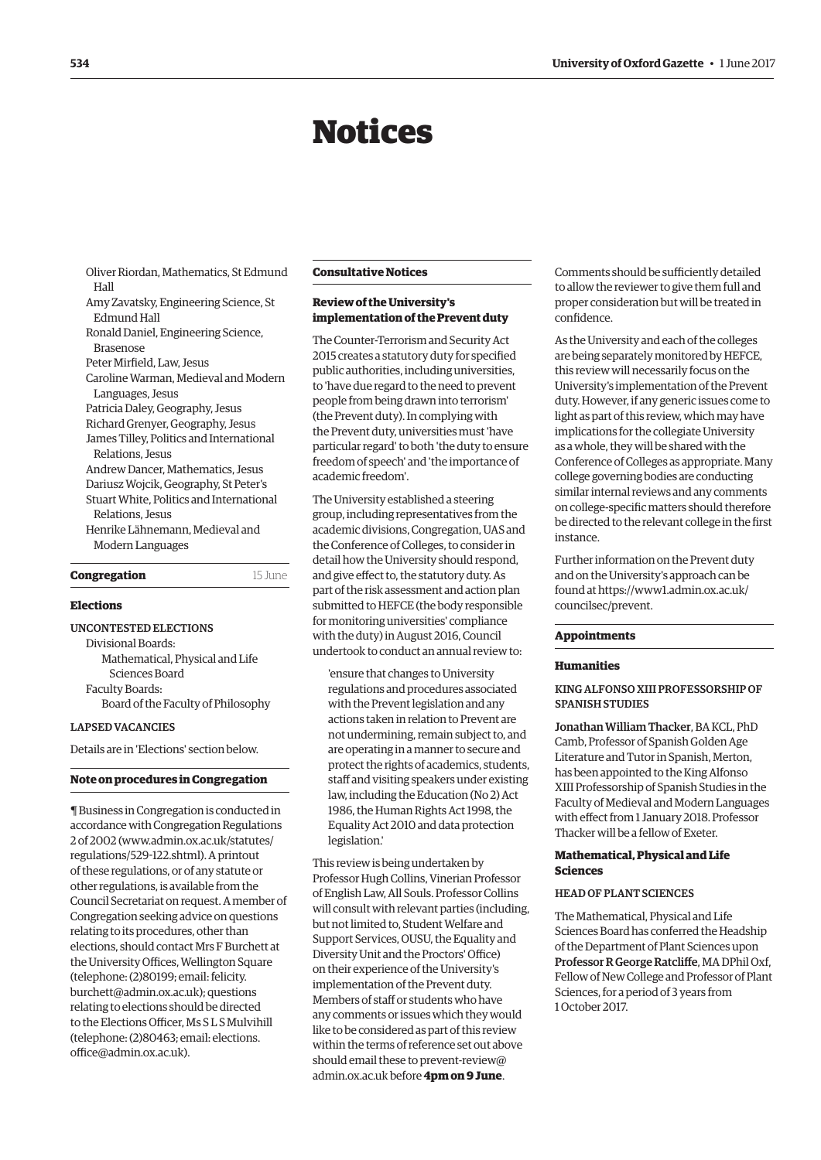# Notices

<span id="page-5-0"></span>Oliver Riordan, Mathematics, St Edmund Hall Amy Zavatsky, Engineering Science, St Edmund Hall Ronald Daniel, Engineering Science, Brasenose Peter Mirfield, Law, Jesus Caroline Warman, Medieval and Modern Languages, Jesus Patricia Daley, Geography, Jesus Richard Grenyer, Geography, Jesus James Tilley, Politics and International Relations, Jesus Andrew Dancer, Mathematics, Jesus Dariusz Wojcik, Geography, St Peter's Stuart White, Politics and International Relations, Jesus Henrike Lähnemann, Medieval and Modern Languages **Congregation** 15 June

#### **Elections**

UNCONTESTED ELECTIONS Divisional Boards: Mathematical, Physical and Life Sciences Board Faculty Boards: Board of the Faculty of Philosophy

# LAPSED VACANCIES

Details are in 'Elections' section below.

#### **Note on procedures in Congregation**

¶ Business in Congregation is conducted in accordance with Congregation Regulations 2 of 2002 [\(www.admin.ox.ac.uk/statutes/](http://www.admin.ox.ac.uk/statutes/regulations/529-122.shtml) [regulations/529-122.shtml\). A](http://www.admin.ox.ac.uk/statutes/regulations/529-122.shtml) printout of these regulations, or of any statute or other regulations, is available from the Council Secretariat on request. A member of Congregation seeking advice on questions relating to its procedures, other than elections, should contact Mrs F Burchett at the University Offices, Wellington Square [\(telephone: \(2\)80199; email: felicity.](mailto:felicity.burchett@admin.ox.ac.uk) burchett@admin.ox.ac.uk); questions relating to elections should be directed to the Elections Officer, Ms S L S Mulvihill [\(telephone: \(2\)80463; email: elections.](mailto:elections.office@admin.ox.ac.uk) office@admin.ox.ac.uk).

#### **Consultative Notices**

# **Review of the University's implementation of the Prevent duty**

The Counter-Terrorism and Security Act 2015 creates a statutory duty for specified public authorities, including universities, to 'have due regard to the need to prevent people from being drawn into terrorism' (the Prevent duty). In complying with the Prevent duty, universities must 'have particular regard' to both 'the duty to ensure freedom of speech' and 'the importance of academic freedom'.

The University established a steering group, including representatives from the academic divisions, Congregation, UAS and the Conference of Colleges, to consider in detail how the University should respond, and give effect to, the statutory duty. As part of the risk assessment and action plan submitted to HEFCE (the body responsible for monitoring universities' compliance with the duty) in August 2016, Council undertook to conduct an annual review to:

'ensure that changes to University regulations and procedures associated with the Prevent legislation and any actions taken in relation to Prevent are not undermining, remain subject to, and are operating in a manner to secure and protect the rights of academics, students, staff and visiting speakers under existing law, including the Education (No 2) Act 1986, the Human Rights Act 1998, the Equality Act 2010 and data protection legislation.'

This review is being undertaken by Professor Hugh Collins, Vinerian Professor of English Law, All Souls. Professor Collins will consult with relevant parties (including, but not limited to, Student Welfare and Support Services, OUSU, the Equality and Diversity Unit and the Proctors' Office) on their experience of the University's implementation of the Prevent duty. Members of staff or students who have any comments or issues which they would like to be considered as part of this review within the terms of reference set out above should email these to prevent-review@ admin.ox.ac.uk before **4pm on 9 June**.

Comments should be sufficiently detailed to allow the reviewer to give them full and proper consideration but will be treated in confidence.

As the University and each of the colleges are being separately monitored by HEFCE, this review will necessarily focus on the University's implementation of the Prevent duty. However, if any generic issues come to light as part of this review, which may have implications for the collegiate University as a whole, they will be shared with the Conference of Colleges as appropriate. Many college governing bodies are conducting similar internal reviews and any comments on college-specific matters should therefore be directed to the relevant college in the first instance.

Further information on the Prevent duty and on the University's approach can be [found at https://www1.admin.ox.ac.uk/](https://www1.admin.ox.ac.uk/councilsec/prevent) councilsec/prevent.

#### **Appointments**

#### **Humanities**

# KING ALFONSO XIII PROFESSORSHIP OF SPANISH STUDIES

Jonathan William Thacker, BA KCL, PhD Camb, Professor of Spanish Golden Age Literature and Tutor in Spanish, Merton, has been appointed to the King Alfonso XIII Professorship of Spanish Studies in the Faculty of Medieval and Modern Languages with effect from 1 January 2018. Professor Thacker will be a fellow of Exeter.

## **Mathematical, Physical and Life Sciences**

#### HEAD OF PLANT SCIENCES

The Mathematical, Physical and Life Sciences Board has conferred the Headship of the Department of Plant Sciences upon Professor R George Ratcliffe, MA DPhil Oxf, Fellow of New College and Professor of Plant Sciences, for a period of 3 years from 1 October 2017.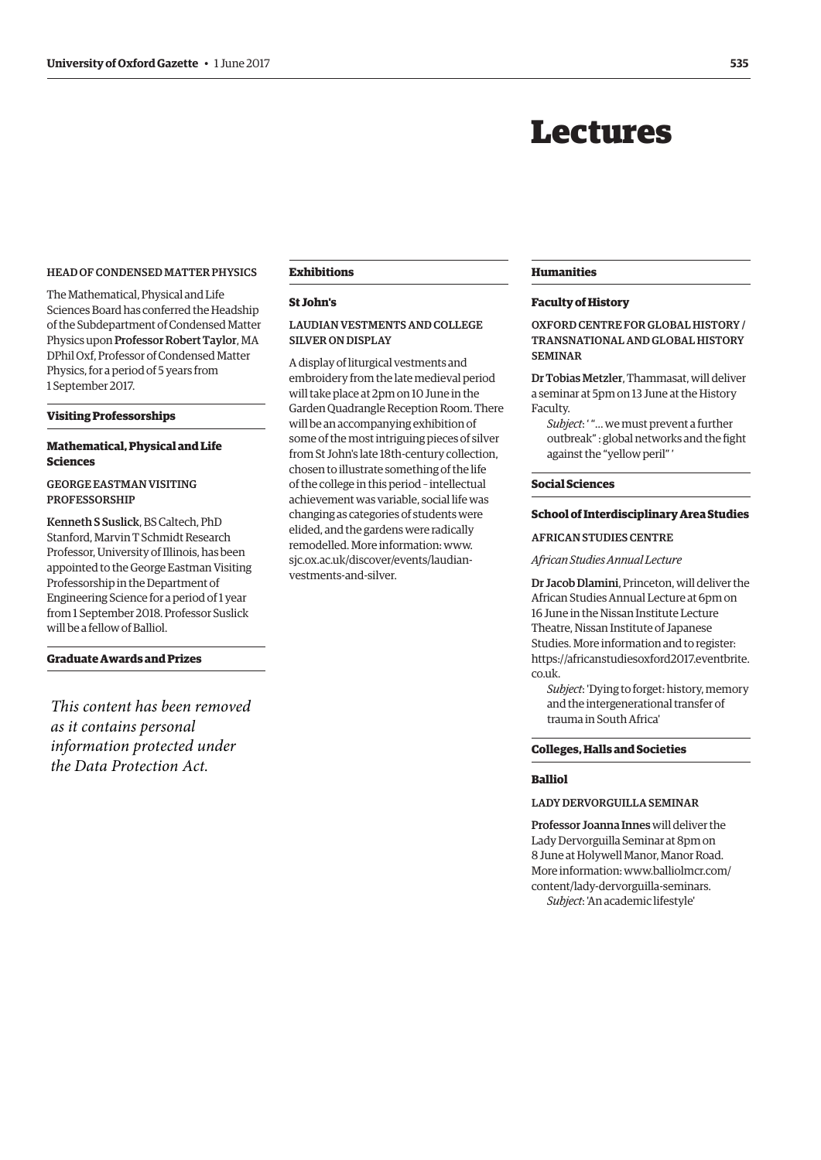# Lectures

# <span id="page-6-0"></span>HEAD OF CONDENSED MATTER PHYSICS

The Mathematical, Physical and Life Sciences Board has conferred the Headship of the Subdepartment of Condensed Matter Physics upon Professor Robert Taylor, MA DPhil Oxf, Professor of Condensed Matter Physics, for a period of 5 years from 1 September 2017.

#### **Visiting Professorships**

# **Mathematical, Physical and Life Sciences**

# GEORGE EASTMAN VISITING PROFESSORSHIP

Kenneth S Suslick, BS Caltech, PhD Stanford, Marvin T Schmidt Research Professor, University of Illinois, has been appointed to the George Eastman Visiting Professorship in the Department of Engineering Science for a period of 1 year from 1 September 2018. Professor Suslick will be a fellow of Balliol.

# **Graduate Awards and Prizes**

*This content has been removed as it contains personal information protected under the Data Protection Act.*

# **Exhibitions**

# **St John's**

# LAUDIAN VESTMENTS AND COLLEGE SILVER ON DISPLAY

A display of liturgical vestments and embroidery from the late medieval period will take place at 2pm on 10 June in the Garden Quadrangle Reception Room. There will be an accompanying exhibition of some of the most intriguing pieces of silver from St John's late 18th-century collection, chosen to illustrate something of the life of the college in this period – intellectual achievement was variable, social life was changing as categories of students were elided, and the gardens were radically [remodelled. More information: www.](www.sjc.ox.ac.uk/discover/events/laudian-vestments-and-silver) sjc.ox.ac.uk/discover/events/laudianvestments-and-silver.

#### **Humanities**

# **Faculty of History**

OXFORD CENTRE FOR GLOBAL HISTORY / TRANSNATIONAL AND GLOBAL HISTORY SEMINAR

Dr Tobias Metzler, Thammasat, will deliver a seminar at 5pm on 13 June at the History Faculty.

*Subject*: ' "… we must prevent a further outbreak" : global networks and the fight against the "yellow peril" '

#### **Social Sciences**

#### **School of Interdisciplinary Area Studies**

#### AFRICAN STUDIES CENTRE

#### *African Studies Annual Lecture*

Dr Jacob Dlamini, Princeton, will deliver the African Studies Annual Lecture at 6pm on 16 June in the Nissan Institute Lecture Theatre, Nissan Institute of Japanese Studies. More information and to register: [https://africanstudiesoxford2017.eventbrite.](https://africanstdiesoxford2017.eventbrite.co.uk) co.uk.

*Subject*: 'Dying to forget: history, memory and the intergenerational transfer of trauma in South Africa'

# **Colleges, Halls and Societies**

# **Balliol**

# LADY DERVORGUILLA SEMINAR

Professor Joanna Innes will deliver the Lady Dervorguilla Seminar at 8pm on 8 June at Holywell Manor, Manor Road. [More information: www.balliolmcr.com/](www.balliolmcr.com/content/lady-dervorguilla-seminars) content/lady-dervorguilla-seminars. *Subject*: 'An academic lifestyle'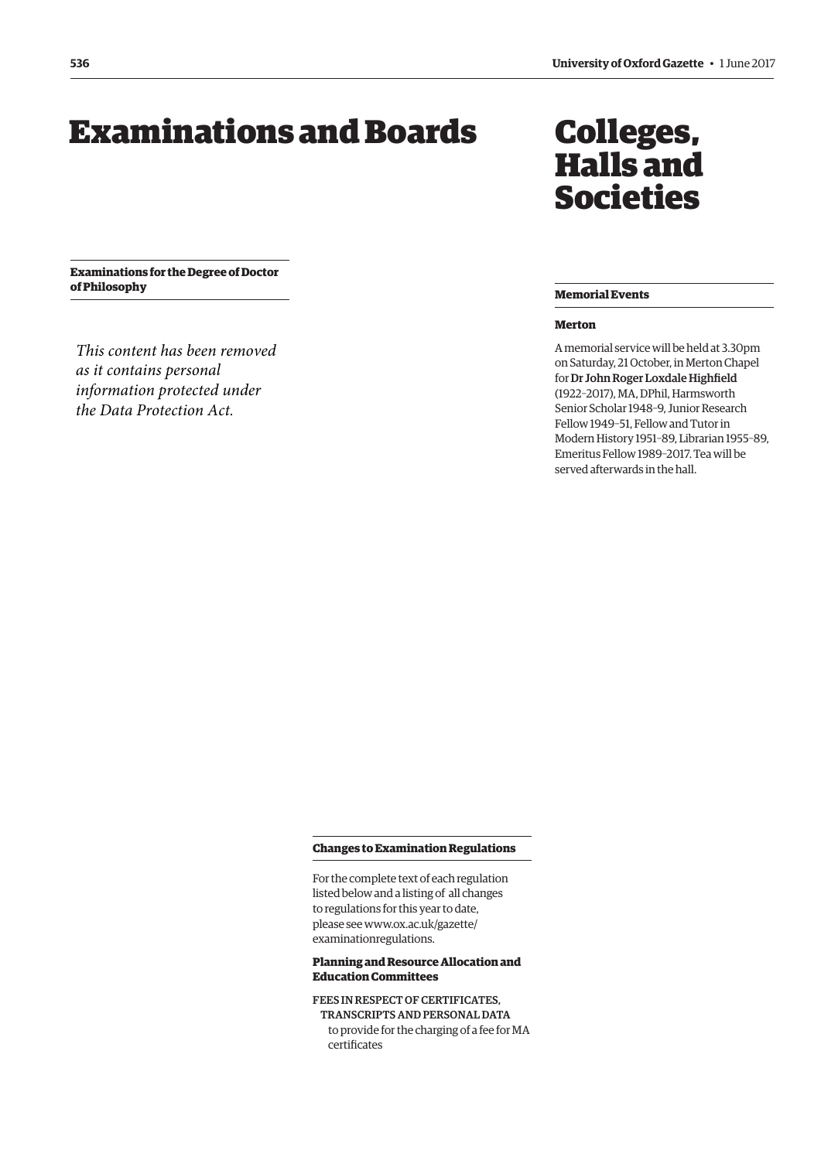# <span id="page-7-0"></span>Examinations and Boards Colleges,

**Examinations for the Degree of Doctor of Philosophy**

*This content has been removed as it contains personal information protected under the Data Protection Act.*

# Halls and Societies

# **Memorial Events**

# **Merton**

A memorial service will be held at 3.30pm on Saturday, 21 October, in Merton Chapel for Dr John Roger Loxdale Highfield (1922–2017), MA, DPhil, Harmsworth Senior Scholar 1948–9, Junior Research Fellow 1949–51, Fellow and Tutor in Modern History 1951–89, Librarian 1955–89, Emeritus Fellow 1989–2017. Tea will be served afterwards in the hall.

#### **Changes to Examination Regulations**

For the complete text of each regulation listed below and a listing of all changes to regulations for this year to date, [please see www.ox.ac.uk/gazette/](www.ox.ac.uk/gazette/examinationregulations) examinationregulations.

# **Planning and Resource Allocation and Education Committees**

FEES IN RESPECT OF CERTIFICATES, TRANSCRIPTS AND PERSONAL DATA to provide for the charging of a fee for MA certificates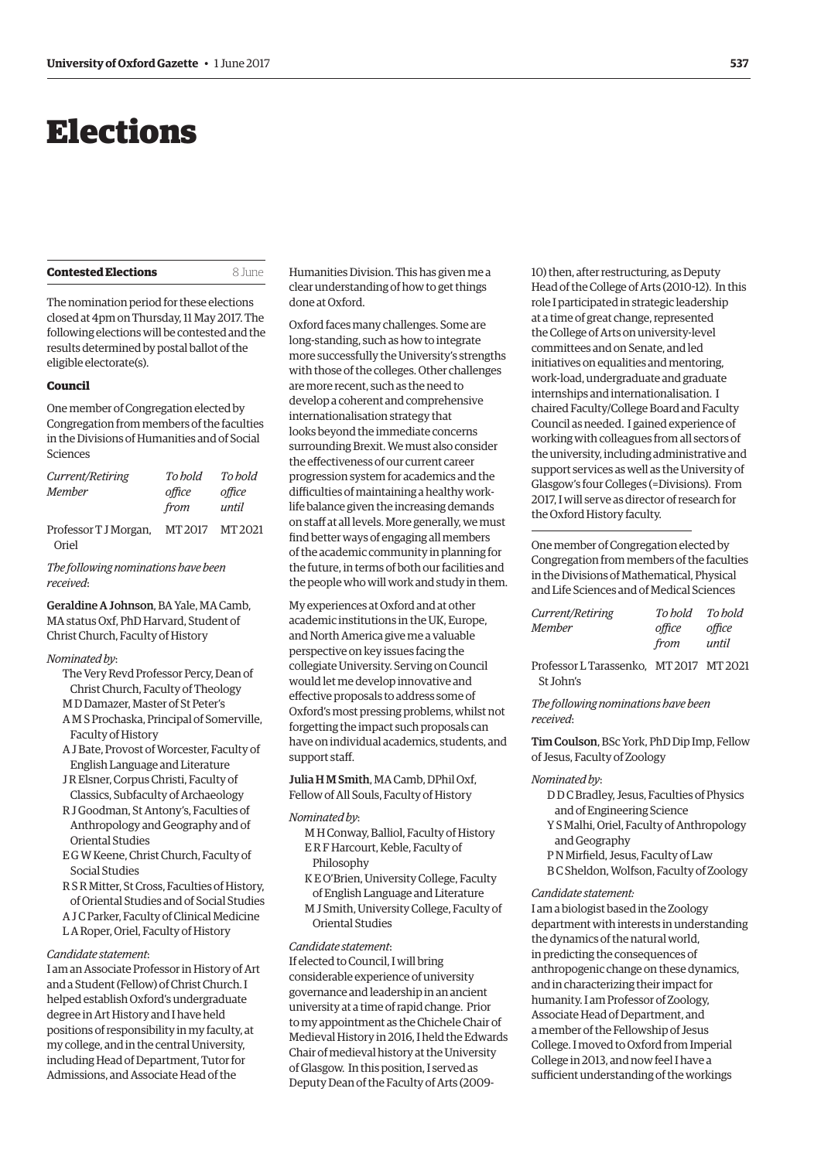# <span id="page-8-0"></span>Elections

The nomination period for these elections closed at 4pm on Thursday, 11 May 2017. The following elections will be contested and the results determined by postal ballot of the eligible electorate(s).

**Contested Elections** 8 June

#### **Council**

One member of Congregation elected by Congregation from members of the faculties in the Divisions of Humanities and of Social Sciences

| Current/Retiring      | To hold            | To hold            |
|-----------------------|--------------------|--------------------|
| Member                | office             | office             |
|                       | from               | until              |
| Professor T J Morgan, | MT <sub>2017</sub> | MT <sub>2021</sub> |

Oriel

*The following nominations have been received*:

Geraldine A Johnson, BA Yale, MA Camb, MA status Oxf, PhD Harvard, Student of Christ Church, Faculty of History

#### *Nominated by*:

- The Very Revd Professor Percy, Dean of Christ Church, Faculty of Theology M D Damazer, Master of St Peter's
- A M S Prochaska, Principal of Somerville, Faculty of History
- A J Bate, Provost of Worcester, Faculty of English Language and Literature
- J R Elsner, Corpus Christi, Faculty of Classics, Subfaculty of Archaeology
- R J Goodman, St Antony's, Faculties of Anthropology and Geography and of Oriental Studies
- E G W Keene, Christ Church, Faculty of Social Studies
- R S R Mitter, St Cross, Faculties of History, of Oriental Studies and of Social Studies
- A J C Parker, Faculty of Clinical Medicine
- L A Roper, Oriel, Faculty of History

# *Candidate statement*:

I am an Associate Professor in History of Art and a Student (Fellow) of Christ Church. I helped establish Oxford's undergraduate degree in Art History and I have held positions of responsibility in my faculty, at my college, and in the central University, including Head of Department, Tutor for Admissions, and Associate Head of the

Humanities Division. This has given me a clear understanding of how to get things done at Oxford.

Oxford faces many challenges. Some are long-standing, such as how to integrate more successfully the University's strengths with those of the colleges. Other challenges are more recent, such as the need to develop a coherent and comprehensive internationalisation strategy that looks beyond the immediate concerns surrounding Brexit. We must also consider the effectiveness of our current career progression system for academics and the difficulties of maintaining a healthy worklife balance given the increasing demands on staff at all levels. More generally, we must find better ways of engaging all members of the academic community in planning for the future, in terms of both our facilities and the people who will work and study in them.

My experiences at Oxford and at other academic institutions in the UK, Europe, and North America give me a valuable perspective on key issues facing the collegiate University. Serving on Council would let me develop innovative and effective proposals to address some of Oxford's most pressing problems, whilst not forgetting the impact such proposals can have on individual academics, students, and support staff.

Julia H M Smith, MA Camb, DPhil Oxf, Fellow of All Souls, Faculty of History

#### *Nominated by*:

- M H Conway, Balliol, Faculty of History E R F Harcourt, Keble, Faculty of Philosophy
- K E O'Brien, University College, Faculty of English Language and Literature
- M J Smith, University College, Faculty of Oriental Studies

#### *Candidate statement*:

If elected to Council, I will bring considerable experience of university governance and leadership in an ancient university at a time of rapid change. Prior to my appointment as the Chichele Chair of Medieval History in 2016, I held the Edwards Chair of medieval history at the University of Glasgow. In this position, I served as Deputy Dean of the Faculty of Arts (200910) then, after restructuring, as Deputy Head of the College of Arts (2010-12). In this role I participated in strategic leadership at a time of great change, represented the College of Arts on university-level committees and on Senate, and led initiatives on equalities and mentoring, work-load, undergraduate and graduate internships and internationalisation. I chaired Faculty/College Board and Faculty Council as needed. I gained experience of working with colleagues from all sectors of the university, including administrative and support services as well as the University of Glasgow's four Colleges (=Divisions). From 2017, I will serve as director of research for the Oxford History faculty.

One member of Congregation elected by Congregation from members of the faculties in the Divisions of Mathematical, Physical and Life Sciences and of Medical Sciences

| Current/Retiring | To hold | To hold |
|------------------|---------|---------|
| Member           | office  | office  |
|                  | from    | until   |

Professor L Tarassenko, MT 2017 MT 2021 St John's

*The following nominations have been received*:

Tim Coulson, BSc York, PhD Dip Imp, Fellow of Jesus, Faculty of Zoology

#### *Nominated by*:

- D D C Bradley, Jesus, Faculties of Physics and of Engineering Science
- Y S Malhi, Oriel, Faculty of Anthropology and Geography
- P N Mirfield, Jesus, Faculty of Law
- B C Sheldon, Wolfson, Faculty of Zoology

#### *Candidate statement:*

I am a biologist based in the Zoology department with interests in understanding the dynamics of the natural world, in predicting the consequences of anthropogenic change on these dynamics, and in characterizing their impact for humanity. I am Professor of Zoology, Associate Head of Department, and a member of the Fellowship of Jesus College. I moved to Oxford from Imperial College in 2013, and now feel I have a sufficient understanding of the workings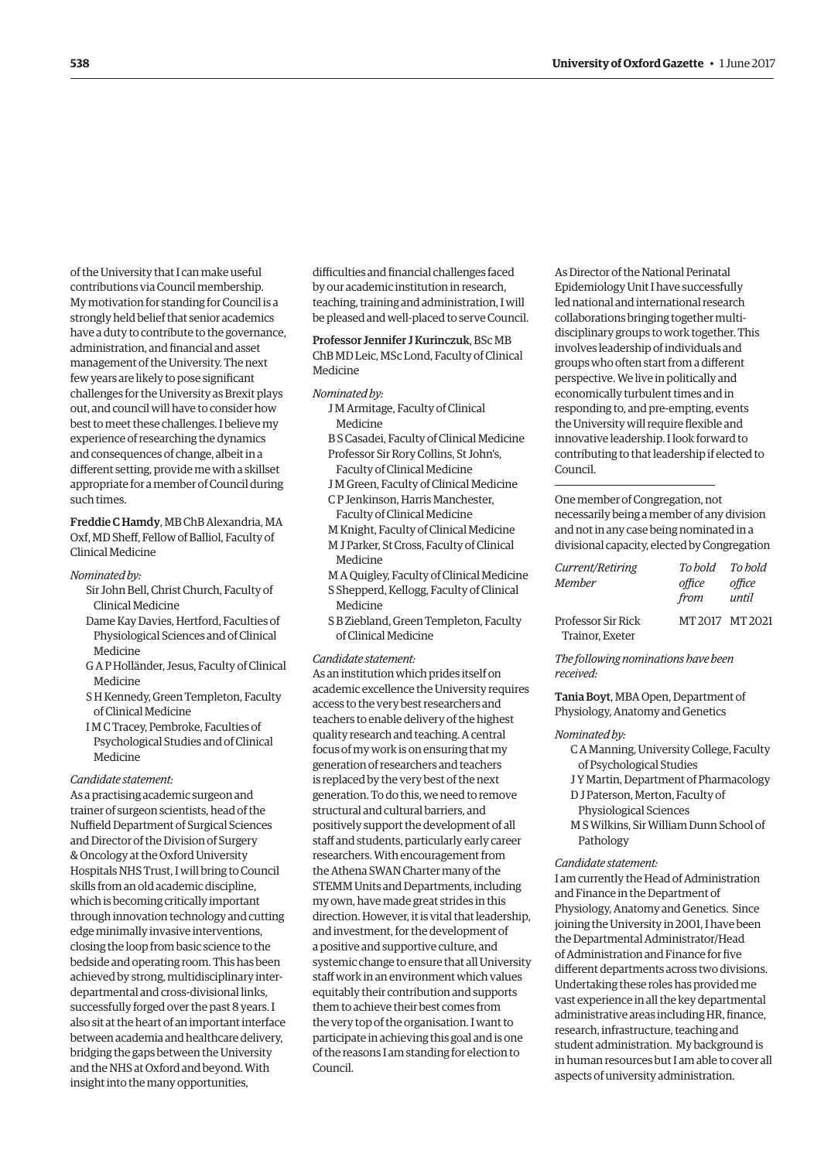of the University that I can make useful contributions via Council membership. My motivation for standing for Council is a strongly held belief that senior academics have a duty to contribute to the governance, administration, and financial and asset management of the University. The next few years are likely to pose significant challenges for the University as Brexit plays out, and council will have to consider how best to meet these challenges. I believe my experience of researching the dynamics and consequences of change, albeit in a different setting, provide me with a skillset appropriate for a member of Council during such times.

Freddie C Hamdy, MB ChB Alexandria, MA Oxf, MD Sheff, Fellow of Balliol, Faculty of Clinical Medicine

#### *Nominated by:*

- Sir John Bell, Christ Church, Faculty of Clinical Medicine
- Dame Kay Davies, Hertford, Faculties of Physiological Sciences and of Clinical Medicine
- G A P Holländer, Jesus, Faculty of Clinical Medicine
- S H Kennedy, Green Templeton, Faculty of Clinical Medicine
- I M C Tracey, Pembroke, Faculties of Psychological Studies and of Clinical Medicine

#### *Candidate statement:*

As a practising academic surgeon and trainer of surgeon scientists, head of the Nuffield Department of Surgical Sciences and Director of the Division of Surgery & Oncology at the Oxford University Hospitals NHS Trust, I will bring to Council skills from an old academic discipline, which is becoming critically important through innovation technology and cutting edge minimally invasive interventions, closing the loop from basic science to the bedside and operating room. This has been achieved by strong, multidisciplinary interdepartmental and cross-divisional links, successfully forged over the past 8 years. I also sit at the heart of an important interface between academia and healthcare delivery, bridging the gaps between the University and the NHS at Oxford and beyond. With insight into the many opportunities,

difficulties and financial challenges faced by our academic institution in research, teaching, training and administration, I will be pleased and well-placed to serve Council.

Professor Jennifer J Kurinczuk, BSc MB ChB MD Leic, MSc Lond, Faculty of Clinical Medicine

#### *Nominated by:*

- J M Armitage, Faculty of Clinical Medicine
- B S Casadei, Faculty of Clinical Medicine Professor Sir Rory Collins, St John's,
	- Faculty of Clinical Medicine
- J M Green, Faculty of Clinical Medicine C P Jenkinson, Harris Manchester, Faculty of Clinical Medicine
- M Knight, Faculty of Clinical Medicine
- M J Parker, St Cross, Faculty of Clinical Medicine
- M A Quigley, Faculty of Clinical Medicine S Shepperd, Kellogg, Faculty of Clinical Medicine
- S B Ziebland, Green Templeton, Faculty of Clinical Medicine

#### *Candidate statement:*

As an institution which prides itself on academic excellence the University requires access to the very best researchers and teachers to enable delivery of the highest quality research and teaching. A central focus of my work is on ensuring that my generation of researchers and teachers is replaced by the very best of the next generation. To do this, we need to remove structural and cultural barriers, and positively support the development of all staff and students, particularly early career researchers. With encouragement from the Athena SWAN Charter many of the STEMM Units and Departments, including my own, have made great strides in this direction. However, it is vital that leadership, and investment, for the development of a positive and supportive culture, and systemic change to ensure that all University staff work in an environment which values equitably their contribution and supports them to achieve their best comes from the very top of the organisation. I want to participate in achieving this goal and is one of the reasons I am standing for election to Council.

As Director of the National Perinatal Epidemiology Unit I have successfully led national and international research collaborations bringing together multidisciplinary groups to work together. This involves leadership of individuals and groups who often start from a different perspective. We live in politically and economically turbulent times and in responding to, and pre-empting, events the University will require flexible and innovative leadership. I look forward to contributing to that leadership if elected to Council.

One member of Congregation, not necessarily being a member of any division and not in any case being nominated in a divisional capacity, elected by Congregation

| Current/Retiring                      | To hold To hold |                 |
|---------------------------------------|-----------------|-----------------|
| Member                                | office<br>from  | office<br>until |
| Professor Sir Rick<br>Trainor, Exeter |                 | MT 2017 MT 2021 |

*The following nominations have been received:*

Tania Boyt, MBA Open, Department of Physiology, Anatomy and Genetics

#### *Nominated by:*

- C A Manning, University College, Faculty of Psychological Studies
- J Y Martin, Department of Pharmacology
- D J Paterson, Merton, Faculty of
- Physiological Sciences
- M S Wilkins, Sir William Dunn School of Pathology

#### *Candidate statement:*

I am currently the Head of Administration and Finance in the Department of Physiology, Anatomy and Genetics. Since joining the University in 2001, I have been the Departmental Administrator/Head of Administration and Finance for five different departments across two divisions. Undertaking these roles has provided me vast experience in all the key departmental administrative areas including HR, finance, research, infrastructure, teaching and student administration. My background is in human resources but I am able to cover all aspects of university administration.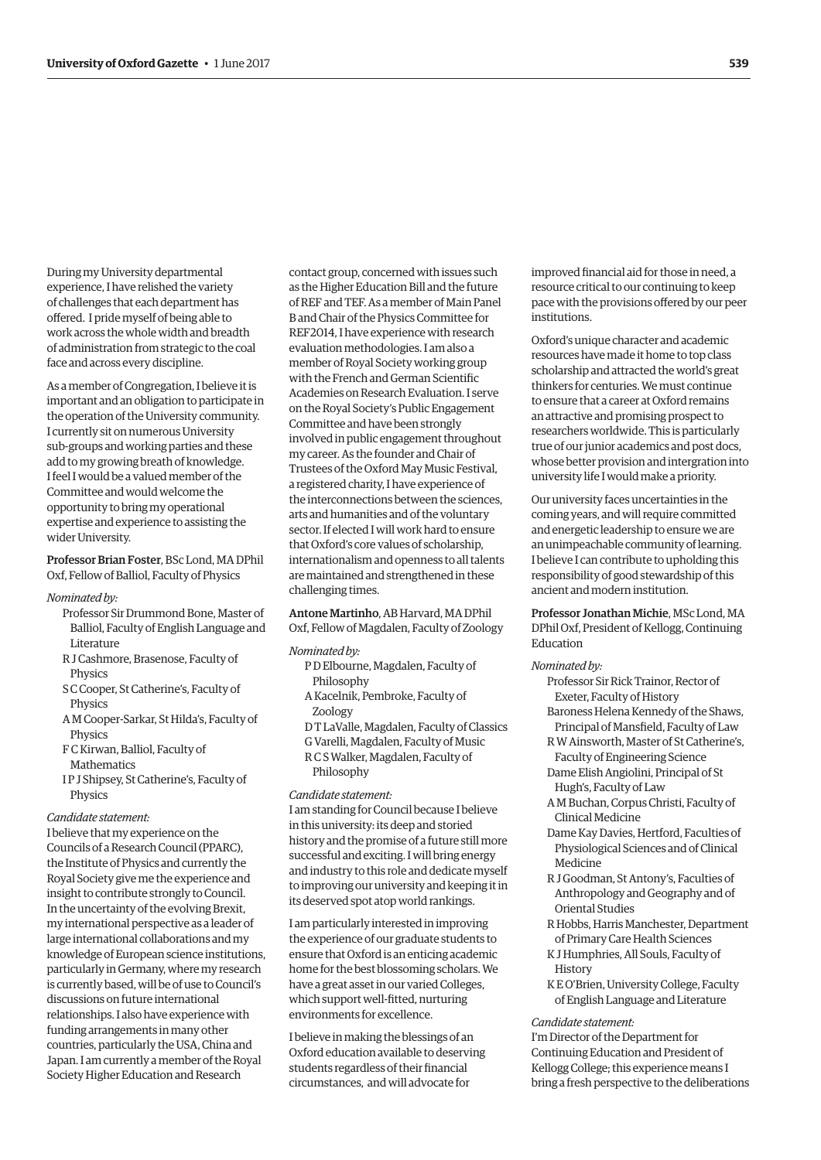During my University departmental experience, I have relished the variety of challenges that each department has offered. I pride myself of being able to work across the whole width and breadth of administration from strategic to the coal face and across every discipline.

As a member of Congregation, I believe it is important and an obligation to participate in the operation of the University community. I currently sit on numerous University sub-groups and working parties and these add to my growing breath of knowledge. I feel I would be a valued member of the Committee and would welcome the opportunity to bring my operational expertise and experience to assisting the wider University.

# Professor Brian Foster, BSc Lond, MA DPhil Oxf, Fellow of Balliol, Faculty of Physics

#### *Nominated by:*

- Professor Sir Drummond Bone, Master of Balliol, Faculty of English Language and Literature
- R J Cashmore, Brasenose, Faculty of **Physics**
- S C Cooper, St Catherine's, Faculty of Physics
- A M Cooper-Sarkar, St Hilda's, Faculty of **Physics**
- F C Kirwan, Balliol, Faculty of Mathematics
- I P J Shipsey, St Catherine's, Faculty of Physics

#### *Candidate statement:*

I believe that my experience on the Councils of a Research Council (PPARC), the Institute of Physics and currently the Royal Society give me the experience and insight to contribute strongly to Council. In the uncertainty of the evolving Brexit, my international perspective as a leader of large international collaborations and my knowledge of European science institutions, particularly in Germany, where my research is currently based, will be of use to Council's discussions on future international relationships. I also have experience with funding arrangements in many other countries, particularly the USA, China and Japan. I am currently a member of the Royal Society Higher Education and Research

contact group, concerned with issues such as the Higher Education Bill and the future of REF and TEF. As a member of Main Panel B and Chair of the Physics Committee for REF2014, I have experience with research evaluation methodologies. I am also a member of Royal Society working group with the French and German Scientific Academies on Research Evaluation. I serve on the Royal Society's Public Engagement Committee and have been strongly involved in public engagement throughout my career. As the founder and Chair of Trustees of the Oxford May Music Festival, a registered charity, I have experience of the interconnections between the sciences, arts and humanities and of the voluntary sector. If elected I will work hard to ensure that Oxford's core values of scholarship, internationalism and openness to all talents are maintained and strengthened in these challenging times.

#### Antone Martinho, AB Harvard, MA DPhil Oxf, Fellow of Magdalen, Faculty of Zoology

#### *Nominated by:*

- P D Elbourne, Magdalen, Faculty of Philosophy
- A Kacelnik, Pembroke, Faculty of Zoology
- D T LaValle, Magdalen, Faculty of Classics
- G Varelli, Magdalen, Faculty of Music
- R C S Walker, Magdalen, Faculty of Philosophy

#### *Candidate statement:*

I am standing for Council because I believe in this university: its deep and storied history and the promise of a future still more successful and exciting. I will bring energy and industry to this role and dedicate myself to improving our university and keeping it in its deserved spot atop world rankings.

I am particularly interested in improving the experience of our graduate students to ensure that Oxford is an enticing academic home for the best blossoming scholars. We have a great asset in our varied Colleges, which support well-fitted, nurturing environments for excellence.

I believe in making the blessings of an Oxford education available to deserving students regardless of their financial circumstances, and will advocate for

improved financial aid for those in need, a resource critical to our continuing to keep pace with the provisions offered by our peer institutions.

Oxford's unique character and academic resources have made it home to top class scholarship and attracted the world's great thinkers for centuries. We must continue to ensure that a career at Oxford remains an attractive and promising prospect to researchers worldwide. This is particularly true of our junior academics and post docs, whose better provision and intergration into university life I would make a priority.

Our university faces uncertainties in the coming years, and will require committed and energetic leadership to ensure we are an unimpeachable community of learning. I believe I can contribute to upholding this responsibility of good stewardship of this ancient and modern institution.

Professor Jonathan Michie, MSc Lond, MA DPhil Oxf, President of Kellogg, Continuing Education

#### *Nominated by:*

Professor Sir Rick Trainor, Rector of Exeter, Faculty of History

- Baroness Helena Kennedy of the Shaws, Principal of Mansfield, Faculty of Law
- R W Ainsworth, Master of St Catherine's, Faculty of Engineering Science
- Dame Elish Angiolini, Principal of St Hugh's, Faculty of Law
- A M Buchan, Corpus Christi, Faculty of Clinical Medicine
- Dame Kay Davies, Hertford, Faculties of Physiological Sciences and of Clinical Medicine
- R J Goodman, St Antony's, Faculties of Anthropology and Geography and of Oriental Studies
- R Hobbs, Harris Manchester, Department of Primary Care Health Sciences
- K J Humphries, All Souls, Faculty of History
- K E O'Brien, University College, Faculty of English Language and Literature

#### *Candidate statement:*

I'm Director of the Department for Continuing Education and President of Kellogg College; this experience means I bring a fresh perspective to the deliberations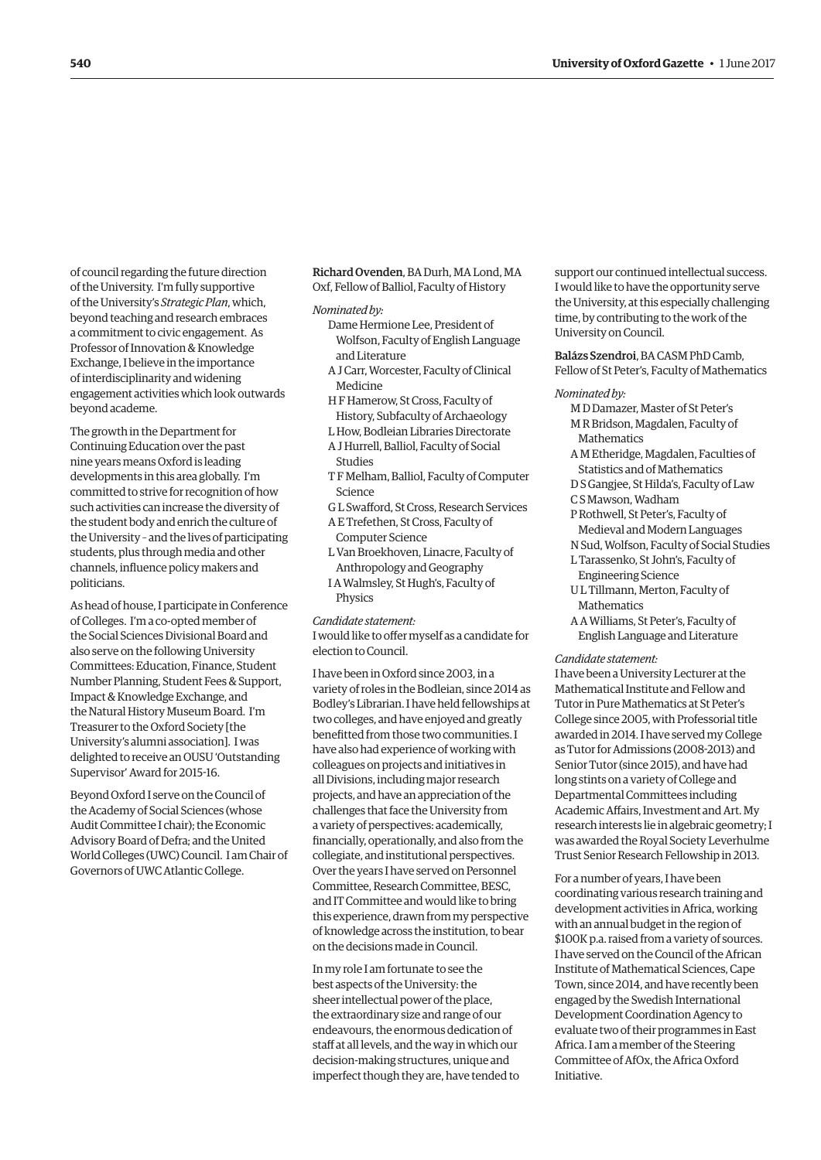of council regarding the future direction of the University. I'm fully supportive of the University's *Strategic Plan*, which, beyond teaching and research embraces a commitment to civic engagement. As Professor of Innovation & Knowledge Exchange, I believe in the importance of interdisciplinarity and widening engagement activities which look outwards beyond academe.

The growth in the Department for Continuing Education over the past nine years means Oxford is leading developments in this area globally. I'm committed to strive for recognition of how such activities can increase the diversity of the student body and enrich the culture of the University – and the lives of participating students, plus through media and other channels, influence policy makers and politicians.

As head of house, I participate in Conference of Colleges. I'm a co-opted member of the Social Sciences Divisional Board and also serve on the following University Committees: Education, Finance, Student Number Planning, Student Fees & Support, Impact & Knowledge Exchange, and the Natural History Museum Board. I'm Treasurer to the Oxford Society [the University's alumni association]. I was delighted to receive an OUSU 'Outstanding Supervisor' Award for 2015-16.

Beyond Oxford I serve on the Council of the Academy of Social Sciences (whose Audit Committee I chair); the Economic Advisory Board of Defra; and the United World Colleges (UWC) Council. I am Chair of Governors of UWC Atlantic College.

Richard Ovenden, BA Durh, MA Lond, MA Oxf, Fellow of Balliol, Faculty of History

# *Nominated by:*

- Dame Hermione Lee, President of Wolfson, Faculty of English Language and Literature
- A J Carr, Worcester, Faculty of Clinical Medicine
- H F Hamerow, St Cross, Faculty of History, Subfaculty of Archaeology
- L How, Bodleian Libraries Directorate A J Hurrell, Balliol, Faculty of Social
- Studies
- T F Melham, Balliol, Faculty of Computer Science
- G L Swafford, St Cross, Research Services
- A E Trefethen, St Cross, Faculty of Computer Science
- L Van Broekhoven, Linacre, Faculty of Anthropology and Geography
- I A Walmsley, St Hugh's, Faculty of Physics

#### *Candidate statement:*

I would like to offer myself as a candidate for election to Council.

I have been in Oxford since 2003, in a variety of roles in the Bodleian, since 2014 as Bodley's Librarian. I have held fellowships at two colleges, and have enjoyed and greatly benefitted from those two communities. I have also had experience of working with colleagues on projects and initiatives in all Divisions, including major research projects, and have an appreciation of the challenges that face the University from a variety of perspectives: academically, financially, operationally, and also from the collegiate, and institutional perspectives. Over the years I have served on Personnel Committee, Research Committee, BESC, and IT Committee and would like to bring this experience, drawn from my perspective of knowledge across the institution, to bear on the decisions made in Council.

In my role I am fortunate to see the best aspects of the University: the sheer intellectual power of the place, the extraordinary size and range of our endeavours, the enormous dedication of staff at all levels, and the way in which our decision-making structures, unique and imperfect though they are, have tended to support our continued intellectual success. I would like to have the opportunity serve the University, at this especially challenging time, by contributing to the work of the University on Council.

Balázs Szendroi, BA CASM PhD Camb, Fellow of St Peter's, Faculty of Mathematics

#### *Nominated by:*

- M D Damazer, Master of St Peter's M R Bridson, Magdalen, Faculty of Mathematics
- A M Etheridge, Magdalen, Faculties of Statistics and of Mathematics
- D S Gangjee, St Hilda's, Faculty of Law C S Mawson, Wadham
- P Rothwell, St Peter's, Faculty of
- Medieval and Modern Languages
- N Sud, Wolfson, Faculty of Social Studies
- L Tarassenko, St John's, Faculty of Engineering Science
- U L Tillmann, Merton, Faculty of **Mathematics**
- A A Williams, St Peter's, Faculty of English Language and Literature

#### *Candidate statement:*

I have been a University Lecturer at the Mathematical Institute and Fellow and Tutor in Pure Mathematics at St Peter's College since 2005, with Professorial title awarded in 2014. I have served my College as Tutor for Admissions (2008-2013) and Senior Tutor (since 2015), and have had long stints on a variety of College and Departmental Committees including Academic Affairs, Investment and Art. My research interests lie in algebraic geometry; I was awarded the Royal Society Leverhulme Trust Senior Research Fellowship in 2013.

For a number of years, I have been coordinating various research training and development activities in Africa, working with an annual budget in the region of \$100K p.a. raised from a variety of sources. I have served on the Council of the African Institute of Mathematical Sciences, Cape Town, since 2014, and have recently been engaged by the Swedish International Development Coordination Agency to evaluate two of their programmes in East Africa. I am a member of the Steering Committee of AfOx, the Africa Oxford Initiative.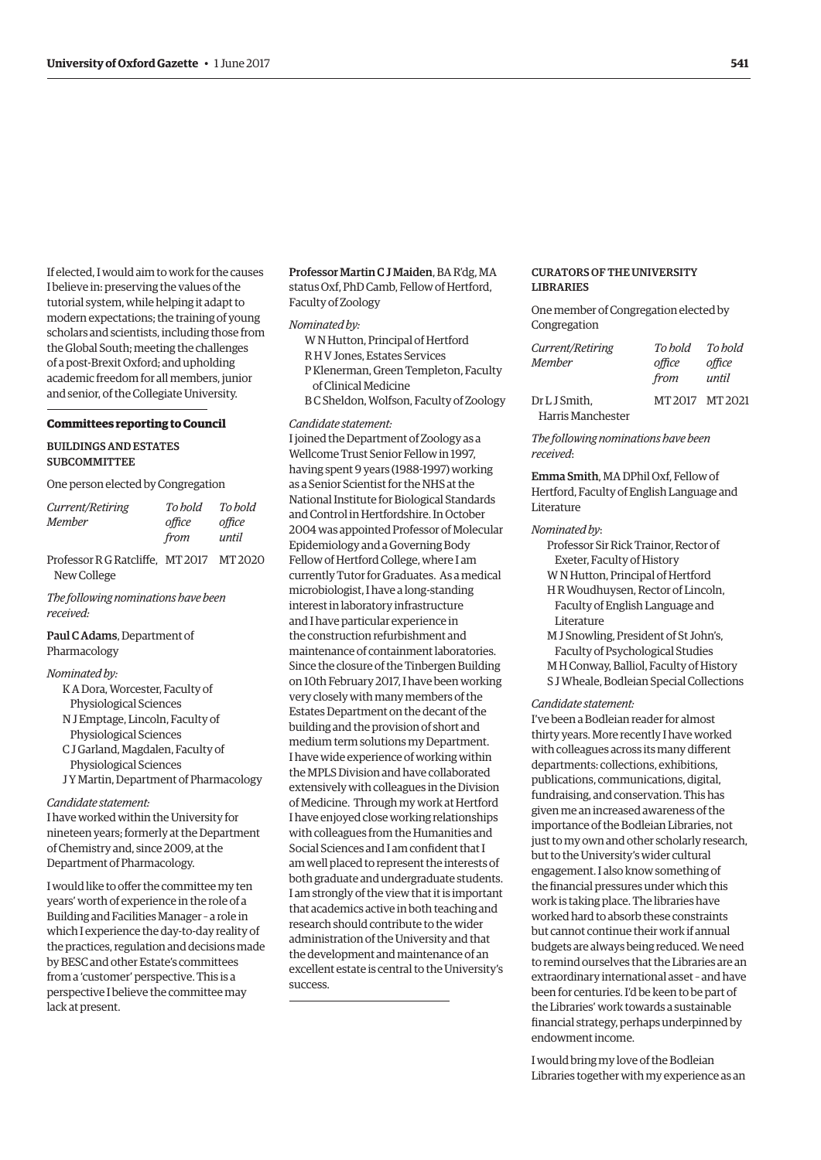If elected, I would aim to work for the causes I believe in: preserving the values of the tutorial system, while helping it adapt to modern expectations; the training of young scholars and scientists, including those from the Global South; meeting the challenges of a post-Brexit Oxford; and upholding academic freedom for all members, junior and senior, of the Collegiate University.

#### **Committees reporting to Council**

# BUILDINGS AND ESTATES **SUBCOMMITTEE**

One person elected by Congregation

| office         |
|----------------|
| until          |
| office<br>from |

Professor R G Ratcliffe, MT 2017 MT 2020 New College

*The following nominations have been received:*

Paul C Adams, Department of Pharmacology

# *Nominated by:*

- K A Dora, Worcester, Faculty of Physiological Sciences
- N J Emptage, Lincoln, Faculty of
- Physiological Sciences
- C J Garland, Magdalen, Faculty of Physiological Sciences
- J Y Martin, Department of Pharmacology

#### *Candidate statement:*

I have worked within the University for nineteen years; formerly at the Department of Chemistry and, since 2009, at the Department of Pharmacology.

I would like to offer the committee my ten years' worth of experience in the role of a Building and Facilities Manager – a role in which I experience the day-to-day reality of the practices, regulation and decisions made by BESC and other Estate's committees from a 'customer' perspective. This is a perspective I believe the committee may lack at present.

Professor Martin C J Maiden, BA R'dg, MA status Oxf, PhD Camb, Fellow of Hertford, Faculty of Zoology

#### *Nominated by:*

- W N Hutton, Principal of Hertford
- R H V Jones, Estates Services
- P Klenerman, Green Templeton, Faculty
- of Clinical Medicine
- B C Sheldon, Wolfson, Faculty of Zoology

# *Candidate statement:*

I joined the Department of Zoology as a Wellcome Trust Senior Fellow in 1997, having spent 9 years (1988-1997) working as a Senior Scientist for the NHS at the National Institute for Biological Standards and Control in Hertfordshire. In October 2004 was appointed Professor of Molecular Epidemiology and a Governing Body Fellow of Hertford College, where I am currently Tutor for Graduates. As a medical microbiologist, I have a long-standing interest in laboratory infrastructure and I have particular experience in the construction refurbishment and maintenance of containment laboratories. Since the closure of the Tinbergen Building on 10th February 2017, I have been working very closely with many members of the Estates Department on the decant of the building and the provision of short and medium term solutions my Department. I have wide experience of working within the MPLS Division and have collaborated extensively with colleagues in the Division of Medicine. Through my work at Hertford I have enjoyed close working relationships with colleagues from the Humanities and Social Sciences and I am confident that I am well placed to represent the interests of both graduate and undergraduate students. I am strongly of the view that it is important that academics active in both teaching and research should contribute to the wider administration of the University and that the development and maintenance of an excellent estate is central to the University's success.

# CURATORS OF THE UNIVERSITY LIBRARIES

One member of Congregation elected by Congregation

| Current/Retiring  | To hold         | To hold |
|-------------------|-----------------|---------|
| <b>Member</b>     | office          | office  |
|                   | from            | until   |
| Dr L J Smith.     | MT 2017 MT 2021 |         |
| Harris Manchester |                 |         |

*The following nominations have been received*:

Emma Smith, MA DPhil Oxf, Fellow of Hertford, Faculty of English Language and Literature

#### *Nominated by*:

- Professor Sir Rick Trainor, Rector of Exeter, Faculty of History
- W N Hutton, Principal of Hertford
- H R Woudhuysen, Rector of Lincoln, Faculty of English Language and Literature
- M J Snowling, President of St John's, Faculty of Psychological Studies M H Conway, Balliol, Faculty of History
- S J Wheale, Bodleian Special Collections

#### *Candidate statement:*

I've been a Bodleian reader for almost thirty years. More recently I have worked with colleagues across its many different departments: collections, exhibitions, publications, communications, digital, fundraising, and conservation. This has given me an increased awareness of the importance of the Bodleian Libraries, not just to my own and other scholarly research, but to the University's wider cultural engagement. I also know something of the financial pressures under which this work is taking place. The libraries have worked hard to absorb these constraints but cannot continue their work if annual budgets are always being reduced. We need to remind ourselves that the Libraries are an extraordinary international asset – and have been for centuries. I'd be keen to be part of the Libraries' work towards a sustainable financial strategy, perhaps underpinned by endowment income.

I would bring my love of the Bodleian Libraries together with my experience as an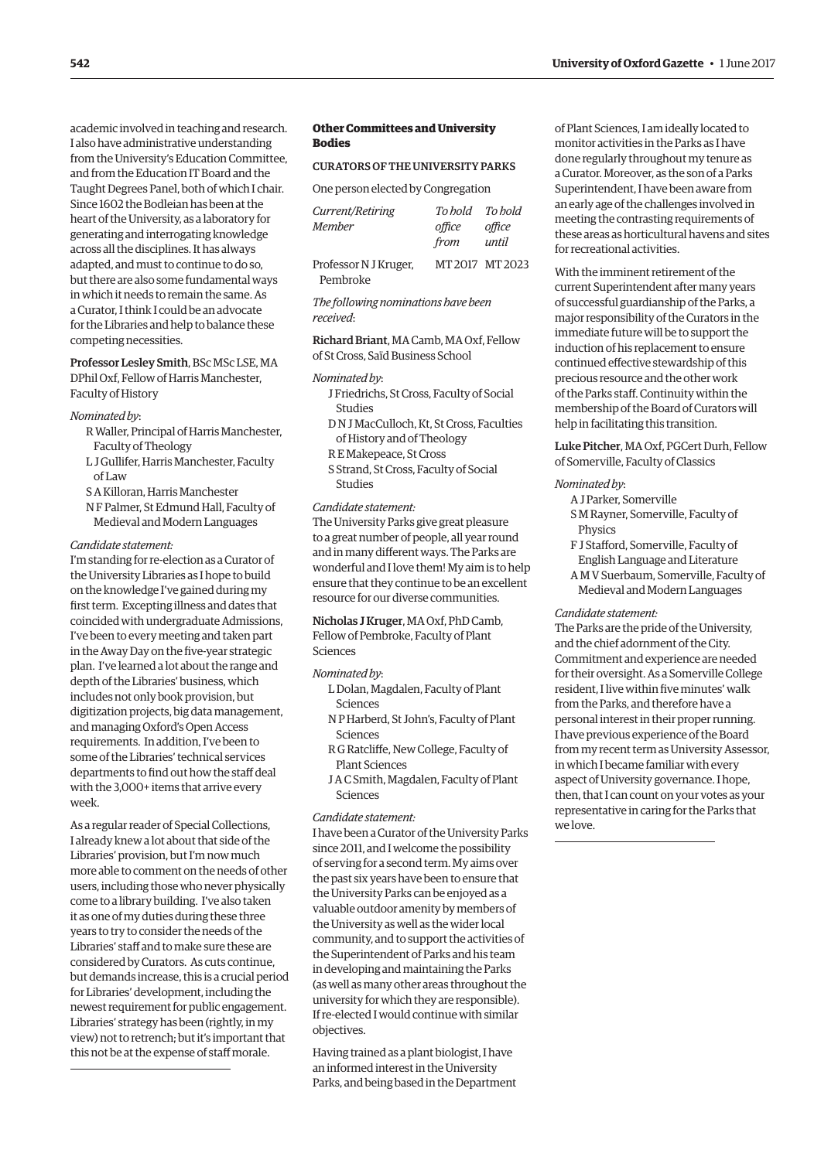academic involved in teaching and research. I also have administrative understanding from the University's Education Committee, and from the Education IT Board and the Taught Degrees Panel, both of which I chair. Since 1602 the Bodleian has been at the heart of the University, as a laboratory for generating and interrogating knowledge across all the disciplines. It has always adapted, and must to continue to do so, but there are also some fundamental ways in which it needs to remain the same. As a Curator, I think I could be an advocate for the Libraries and help to balance these competing necessities.

Professor Lesley Smith, BSc MSc LSE, MA DPhil Oxf, Fellow of Harris Manchester, Faculty of History

#### *Nominated by*:

- R Waller, Principal of Harris Manchester, Faculty of Theology
- L J Gullifer, Harris Manchester, Faculty of Law
- S A Killoran, Harris Manchester
- N F Palmer, St Edmund Hall, Faculty of Medieval and Modern Languages

#### *Candidate statement:*

I'm standing for re-election as a Curator of the University Libraries as I hope to build on the knowledge I've gained during my first term. Excepting illness and dates that coincided with undergraduate Admissions, I've been to every meeting and taken part in the Away Day on the five-year strategic plan. I've learned a lot about the range and depth of the Libraries' business, which includes not only book provision, but digitization projects, big data management, and managing Oxford's Open Access requirements. In addition, I've been to some of the Libraries' technical services departments to find out how the staff deal with the 3,000+ items that arrive every week.

As a regular reader of Special Collections, I already knew a lot about that side of the Libraries' provision, but I'm now much more able to comment on the needs of other users, including those who never physically come to a library building. I've also taken it as one of my duties during these three years to try to consider the needs of the Libraries' staff and to make sure these are considered by Curators. As cuts continue, but demands increase, this is a crucial period for Libraries' development, including the newest requirement for public engagement. Libraries' strategy has been (rightly, in my view) not to retrench; but it's important that this not be at the expense of staff morale.

# **Other Committees and University Bodies**

#### CURATORS OF THE UNIVERSITY PARKS

One person elected by Congregation

| Current/Retiring<br>Member | To hold To hold<br>office<br>from | office<br>until |
|----------------------------|-----------------------------------|-----------------|
| Professor N J Kruger,      |                                   | MT2017 MT2023   |
| Pembroke                   |                                   |                 |

*The following nominations have been received*:

Richard Briant, MA Camb, MA Oxf, Fellow of St Cross, Saïd Business School

#### *Nominated by*:

- J Friedrichs, St Cross, Faculty of Social Studies
- D N J MacCulloch, Kt, St Cross, Faculties of History and of Theology
- R E Makepeace, St Cross
- S Strand, St Cross, Faculty of Social Studies

#### *Candidate statement:*

The University Parks give great pleasure to a great number of people, all year round and in many different ways. The Parks are wonderful and I love them! My aim is to help ensure that they continue to be an excellent resource for our diverse communities.

Nicholas J Kruger, MA Oxf, PhD Camb, Fellow of Pembroke, Faculty of Plant Sciences

#### *Nominated by*:

- L Dolan, Magdalen, Faculty of Plant Sciences
- N P Harberd, St John's, Faculty of Plant Sciences
- R G Ratcliffe, New College, Faculty of Plant Sciences
- J A C Smith, Magdalen, Faculty of Plant Sciences

#### *Candidate statement:*

I have been a Curator of the University Parks since 2011, and I welcome the possibility of serving for a second term. My aims over the past six years have been to ensure that the University Parks can be enjoyed as a valuable outdoor amenity by members of the University as well as the wider local community, and to support the activities of the Superintendent of Parks and his team in developing and maintaining the Parks (as well as many other areas throughout the university for which they are responsible). If re-elected I would continue with similar objectives.

Having trained as a plant biologist, I have an informed interest in the University Parks, and being based in the Department of Plant Sciences, I am ideally located to monitor activities in the Parks as I have done regularly throughout my tenure as a Curator. Moreover, as the son of a Parks Superintendent, I have been aware from an early age of the challenges involved in meeting the contrasting requirements of these areas as horticultural havens and sites for recreational activities.

With the imminent retirement of the current Superintendent after many years of successful guardianship of the Parks, a major responsibility of the Curators in the immediate future will be to support the induction of his replacement to ensure continued effective stewardship of this precious resource and the other work of the Parks staff. Continuity within the membership of the Board of Curators will help in facilitating this transition.

Luke Pitcher, MA Oxf, PGCert Durh, Fellow of Somerville, Faculty of Classics

#### *Nominated by*:

- A J Parker, Somerville
- S M Rayner, Somerville, Faculty of Physics
- F J Stafford, Somerville, Faculty of English Language and Literature A M V Suerbaum, Somerville, Faculty of Medieval and Modern Languages

#### *Candidate statement:*

The Parks are the pride of the University, and the chief adornment of the City. Commitment and experience are needed for their oversight. As a Somerville College resident, I live within five minutes' walk from the Parks, and therefore have a personal interest in their proper running. I have previous experience of the Board from my recent term as University Assessor, in which I became familiar with every aspect of University governance. I hope, then, that I can count on your votes as your representative in caring for the Parks that we love.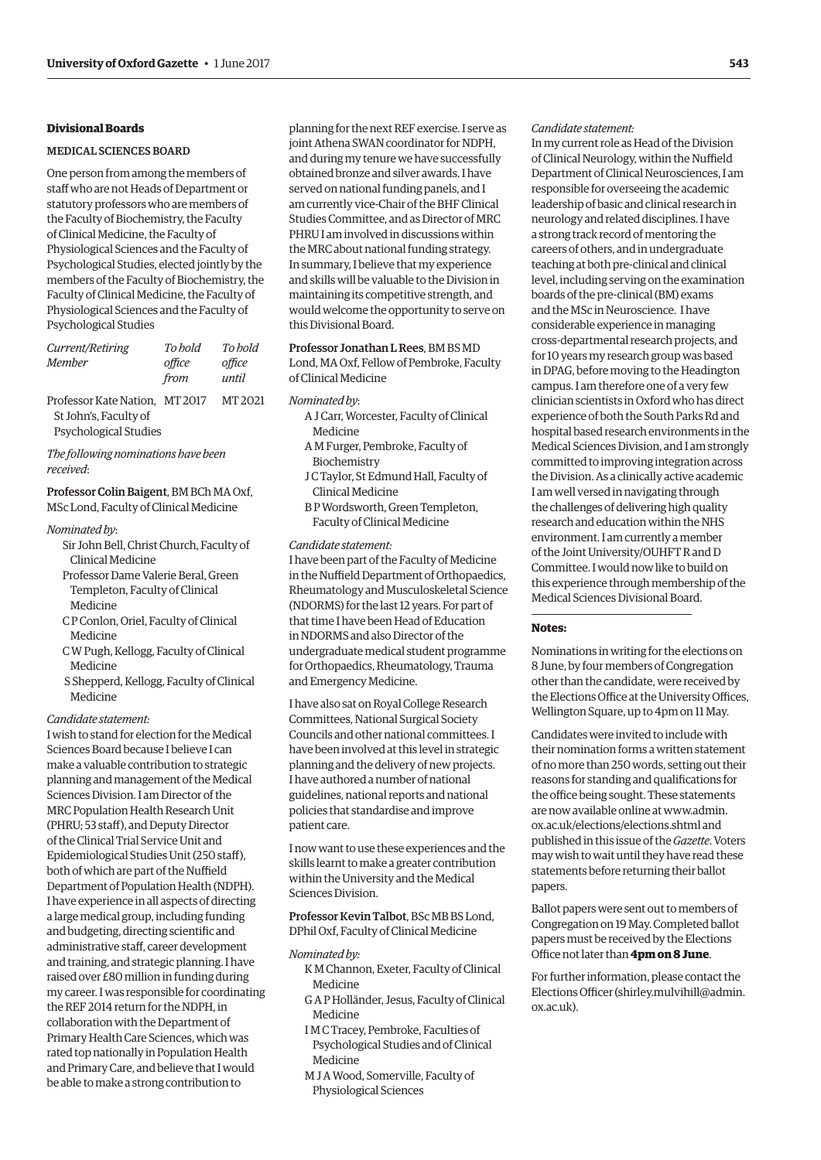# **Divisional Boards**

# MEDICAL SCIENCES BOARD

One person from among the members of staff who are not Heads of Department or statutory professors who are members of the Faculty of Biochemistry, the Faculty of Clinical Medicine, the Faculty of Physiological Sciences and the Faculty of Psychological Studies, elected jointly by the members of the Faculty of Biochemistry, the Faculty of Clinical Medicine, the Faculty of Physiological Sciences and the Faculty of Psychological Studies

| Current/Retiring<br>Member                              | To hold<br>office<br>from | To bold<br>office<br>until |
|---------------------------------------------------------|---------------------------|----------------------------|
| Professor Kate Nation. MT 2017<br>St John's, Faculty of |                           | MT <sub>2021</sub>         |

Psychological Studies

*The following nominations have been received*:

# Professor Colin Baigent, BM BCh MA Oxf, MSc Lond, Faculty of Clinical Medicine

#### *Nominated by*:

- Sir John Bell, Christ Church, Faculty of Clinical Medicine
- Professor Dame Valerie Beral, Green Templeton, Faculty of Clinical Medicine
- C P Conlon, Oriel, Faculty of Clinical Medicine
- C W Pugh, Kellogg, Faculty of Clinical Medicine
- S Shepperd, Kellogg, Faculty of Clinical Medicine

# *Candidate statement:*

I wish to stand for election for the Medical Sciences Board because I believe I can make a valuable contribution to strategic planning and management of the Medical Sciences Division. I am Director of the MRC Population Health Research Unit (PHRU; 53 staff), and Deputy Director of the Clinical Trial Service Unit and Epidemiological Studies Unit (250 staff), both of which are part of the Nuffield Department of Population Health (NDPH). I have experience in all aspects of directing a large medical group, including funding and budgeting, directing scientific and administrative staff, career development and training, and strategic planning. I have raised over £80 million in funding during my career. I was responsible for coordinating the REF 2014 return for the NDPH, in collaboration with the Department of Primary Health Care Sciences, which was rated top nationally in Population Health and Primary Care, and believe that I would be able to make a strong contribution to

planning for the next REF exercise. I serve as joint Athena SWAN coordinator for NDPH, and during my tenure we have successfully obtained bronze and silver awards. I have served on national funding panels, and I am currently vice-Chair of the BHF Clinical Studies Committee, and as Director of MRC PHRU I am involved in discussions within the MRC about national funding strategy. In summary, I believe that my experience and skills will be valuable to the Division in maintaining its competitive strength, and would welcome the opportunity to serve on this Divisional Board.

Professor Jonathan L Rees, BM BS MD Lond, MA Oxf, Fellow of Pembroke, Faculty of Clinical Medicine

#### *Nominated by*:

- A J Carr, Worcester, Faculty of Clinical Medicine
- A M Furger, Pembroke, Faculty of Biochemistry
- J C Taylor, St Edmund Hall, Faculty of Clinical Medicine
- B P Wordsworth, Green Templeton, Faculty of Clinical Medicine

#### *Candidate statement:*

I have been part of the Faculty of Medicine in the Nuffield Department of Orthopaedics, Rheumatology and Musculoskeletal Science (NDORMS) for the last 12 years. For part of that time I have been Head of Education in NDORMS and also Director of the undergraduate medical student programme for Orthopaedics, Rheumatology, Trauma and Emergency Medicine.

I have also sat on Royal College Research Committees, National Surgical Society Councils and other national committees. I have been involved at this level in strategic planning and the delivery of new projects. I have authored a number of national guidelines, national reports and national policies that standardise and improve patient care.

I now want to use these experiences and the skills learnt to make a greater contribution within the University and the Medical Sciences Division.

Professor Kevin Talbot, BSc MB BS Lond, DPhil Oxf, Faculty of Clinical Medicine

#### *Nominated by:*

- K M Channon, Exeter, Faculty of Clinical Medicine
- G A P Holländer, Jesus, Faculty of Clinical Medicine
- I M C Tracey, Pembroke, Faculties of Psychological Studies and of Clinical Medicine
- M J A Wood, Somerville, Faculty of Physiological Sciences

#### *Candidate statement:*

In my current role as Head of the Division of Clinical Neurology, within the Nuffield Department of Clinical Neurosciences, I am responsible for overseeing the academic leadership of basic and clinical research in neurology and related disciplines. I have a strong track record of mentoring the careers of others, and in undergraduate teaching at both pre-clinical and clinical level, including serving on the examination boards of the pre-clinical (BM) exams and the MSc in Neuroscience. I have considerable experience in managing cross-departmental research projects, and for 10 years my research group was based in DPAG, before moving to the Headington campus. I am therefore one of a very few clinician scientists in Oxford who has direct experience of both the South Parks Rd and hospital based research environments in the Medical Sciences Division, and I am strongly committed to improving integration across the Division. As a clinically active academic I am well versed in navigating through the challenges of delivering high quality research and education within the NHS environment. I am currently a member of the Joint University/OUHFT R and D Committee. I would now like to build on this experience through membership of the Medical Sciences Divisional Board.

# **Notes:**

Nominations in writing for the elections on 8 June, by four members of Congregation other than the candidate, were received by the Elections Office at the University Offices, Wellington Square, up to 4pm on 11 May.

Candidates were invited to include with their nomination forms a written statement of no more than 250 words, setting out their reasons for standing and qualifications for the office being sought. These statements [are now available online at www.admin.](www.admin.ox.ac.uk/elections/elections.shtml) ox.ac.uk/elections/elections.shtml and published in this issue of the *Gazette*. Voters may wish to wait until they have read these statements before returning their ballot papers.

Ballot papers were sent out to members of Congregation on 19 May. Completed ballot papers must be received by the Elections Office not later than **4pm on 8 June**.

For further information, please contact the Elections Officer [\(shirley.mulvihill@admin.](mailto:shirley.mulvihill@admin.ox.ac.uk) [ox.ac.uk\).](mailto:shirley.mulvihill@admin.ox.ac.uk)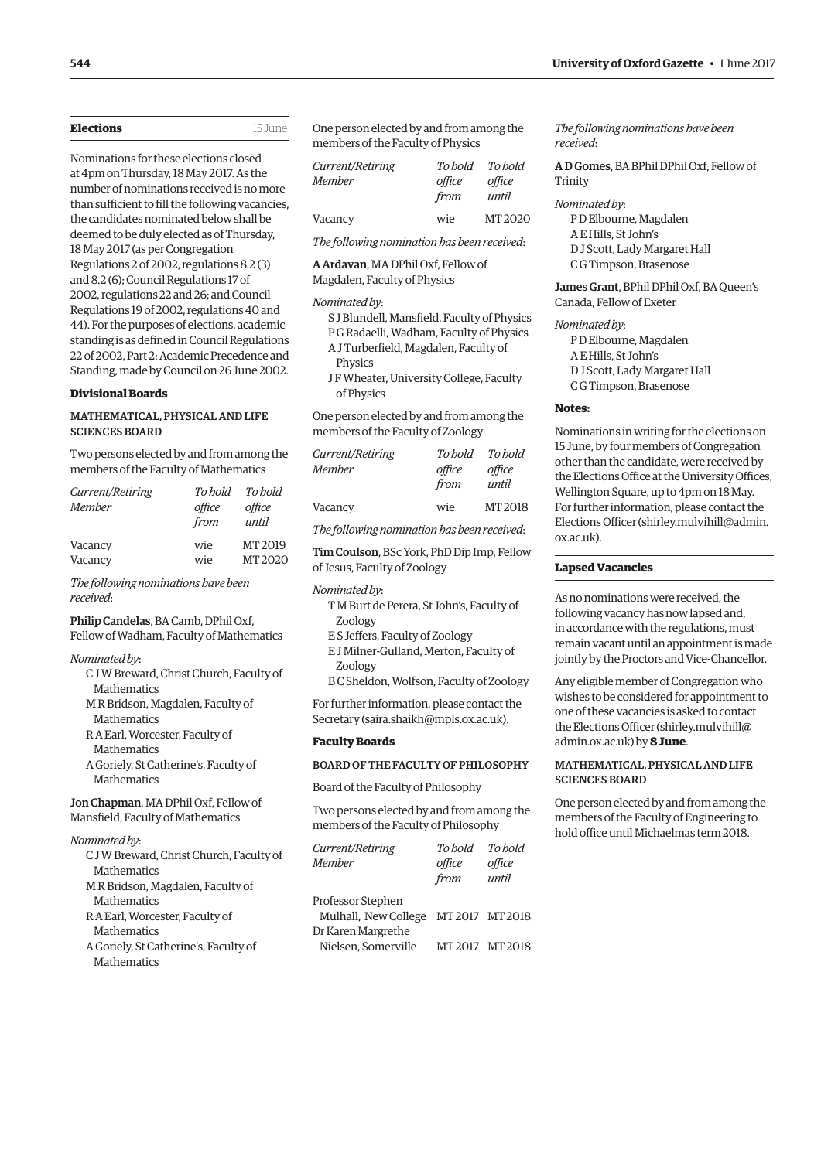| <b>Elections</b> | 15 June |
|------------------|---------|
|                  |         |

Nominations for these elections closed at 4pm on Thursday, 18 May 2017. As the number of nominations received is no more than sufficient to fill the following vacancies, the candidates nominated below shall be deemed to be duly elected as of Thursday, 18 May 2017 (as per Congregation Regulations 2 of 2002, regulations 8.2 (3) and 8.2 (6); Council Regulations 17 of 2002, regulations 22 and 26; and Council Regulations 19 of 2002, regulations 40 and 44). For the purposes of elections, academic standing is as defined in Council Regulations 22 of 2002, Part 2: Academic Precedence and Standing, made by Council on 26 June 2002.

#### **Divisional Boards**

# MATHEMATICAL, PHYSICAL AND LIFE SCIENCES BOARD

Two persons elected by and from among the members of the Faculty of Mathematics

| Current/Retiring | To hold | To bold |
|------------------|---------|---------|
| Member           | office  | office  |
|                  | from    | until   |
| Vacancy          | wie     | MT 2019 |
| Vacancy          | wie     | MT 2020 |

# *The following nominations have been received*:

# Philip Candelas, BA Camb, DPhil Oxf, Fellow of Wadham, Faculty of Mathematics

#### *Nominated by*:

- C J W Breward, Christ Church, Faculty of Mathematics
- M R Bridson, Magdalen, Faculty of **Mathematics**
- R A Earl, Worcester, Faculty of **Mathematics**

A Goriely, St Catherine's, Faculty of **Mathematics** 

# Jon Chapman, MA DPhil Oxf, Fellow of Mansfield, Faculty of Mathematics

*Nominated by*:

- C J W Breward, Christ Church, Faculty of Mathematics
- M R Bridson, Magdalen, Faculty of Mathematics
- R A Earl, Worcester, Faculty of **Mathematics**
- A Goriely, St Catherine's, Faculty of **Mathematics**

One person elected by and from among the members of the Faculty of Physics

| Current/Retiring | To bold | To bold            |
|------------------|---------|--------------------|
| <b>Member</b>    | office  | office             |
|                  | from    | until              |
| Vacancy          | wie     | MT <sub>2020</sub> |

*The following nomination has been received*:

A Ardavan, MA DPhil Oxf, Fellow of

Magdalen, Faculty of Physics

#### *Nominated by*:

- S J Blundell, Mansfield, Faculty of Physics P G Radaelli, Wadham, Faculty of Physics
- A J Turberfield, Magdalen, Faculty of **Physics**
- J F Wheater, University College, Faculty of Physics

One person elected by and from among the members of the Faculty of Zoology

| Current/Retiring | To bold | To hold            |
|------------------|---------|--------------------|
| Member           | office  | office             |
|                  | from    | until              |
| Vacancy          | wie     | MT <sub>2018</sub> |
|                  |         |                    |

*The following nomination has been received*:

Tim Coulson, BSc York, PhD Dip Imp, Fellow of Jesus, Faculty of Zoology

#### *Nominated by*:

- T M Burt de Perera, St John's, Faculty of Zoology
- E S Jeffers, Faculty of Zoology
- E J Milner-Gulland, Merton, Faculty of Zoology
- B C Sheldon, Wolfson, Faculty of Zoology

For further information, please contact the Secretary ([saira.shaikh@mpls.ox.ac.uk\).](mailto:saira.shaikh@mpls.ox.ac.uk)

#### **Faculty Boards**

# BOARD OF THE FACULTY OF PHILOSOPHY

Board of the Faculty of Philosophy

Two persons elected by and from among the members of the Faculty of Philosophy

| Current/Retiring     | To hold       | To hold         |
|----------------------|---------------|-----------------|
| <b>Member</b>        | office        | office          |
|                      | from          | until           |
| Professor Stephen    |               |                 |
| Mulhall, New College | MT2017 MT2018 |                 |
| Dr Karen Margrethe   |               |                 |
| Nielsen, Somerville  |               | MT 2017 MT 2018 |

*The following nominations have been received*:

A D Gomes, BA BPhil DPhil Oxf, Fellow of Trinity

# *Nominated by*:

P D Elbourne, Magdalen A E Hills, St John's D J Scott, Lady Margaret Hall C G Timpson, Brasenose

James Grant, BPhil DPhil Oxf, BA Queen's Canada, Fellow of Exeter

*Nominated by*:

P D Elbourne, Magdalen A E Hills, St John's D J Scott, Lady Margaret Hall

C G Timpson, Brasenose

# **Notes:**

Nominations in writing for the elections on 15 June, by four members of Congregation other than the candidate, were received by the Elections Office at the University Offices, Wellington Square, up to 4pm on 18 May. For further information, please contact the Elections Officer [\(shirley.mulvihill@admin.](mailto:shirley.mulvihill@admin.ox.ac.uk) [ox.ac.uk\).](mailto:shirley.mulvihill@admin.ox.ac.uk)

# **Lapsed Vacancies**

As no nominations were received, the following vacancy has now lapsed and, in accordance with the regulations, must remain vacant until an appointment is made jointly by the Proctors and Vice-Chancellor.

Any eligible member of Congregation who wishes to be considered for appointment to one of these vacancies is asked to contact the Elections Officer ([shirley.mulvihill@](mailto:shirley.mulvihill@admin.ox.ac.uk) [admin.ox.ac.uk\) by](mailto:shirley.mulvihill@admin.ox.ac.uk) **8 June**.

# MATHEMATICAL, PHYSICAL AND LIFE SCIENCES BOARD

One person elected by and from among the members of the Faculty of Engineering to hold office until Michaelmas term 2018.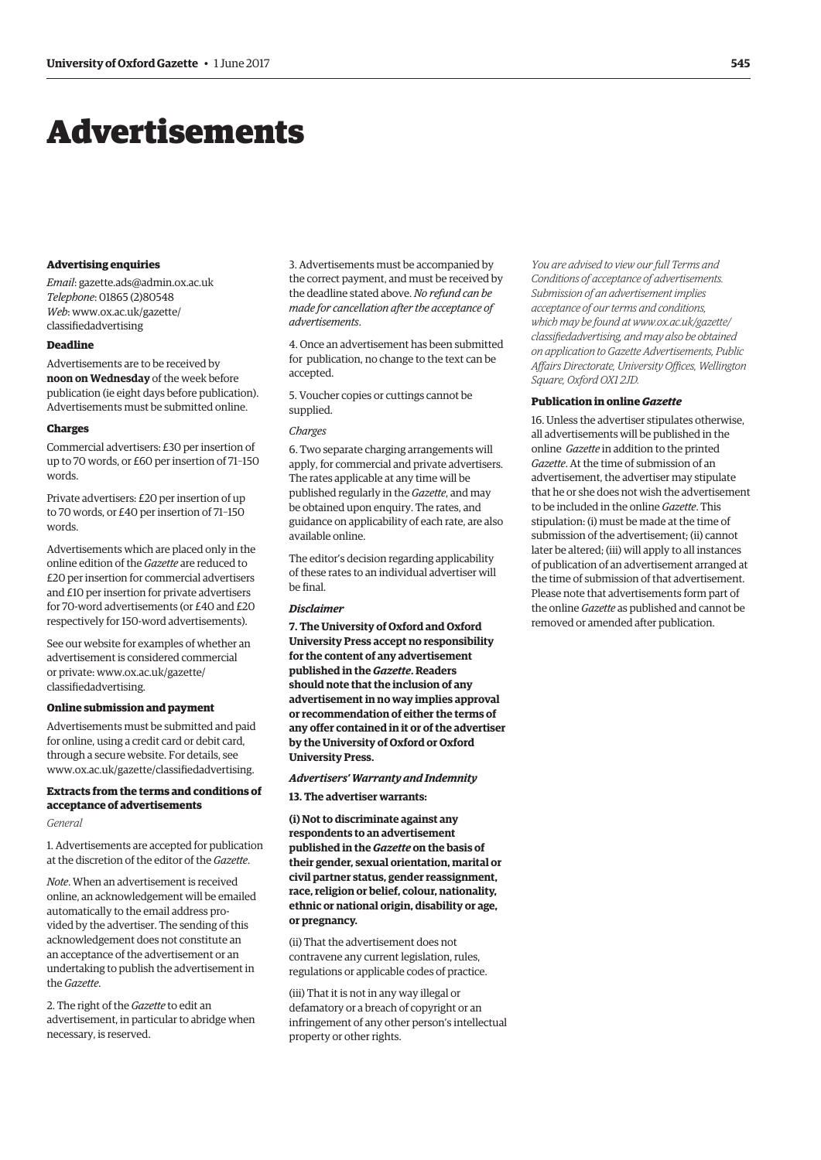# <span id="page-16-0"></span>Advertisements

#### **Advertising enquiries**

*Email*: [gazette.ads@admin.ox.ac.uk](mailto:gazette.ads@admin.ox.ac.uk) *Telephone*: 01865 (2)80548 *Web*[: www.ox.ac.uk/gazette/](www.ox.ac.uk/gazette/classifiedadvertising) classifiedadvertising

# **Deadline**

Advertisements are to be received by **noon on Wednesday** of the week before publication (ie eight days before publication). Advertisements must be submitted online.

#### **Charges**

Commercial advertisers: £30 per insertion of up to 70 words, or £60 per insertion of 71–150 words.

Private advertisers: £20 per insertion of up to 70 words, or £40 per insertion of 71–150 words.

Advertisements which are placed only in the online edition of the *Gazette* are reduced to £20 per insertion for commercial advertisers and £10 per insertion for private advertisers for 70-word advertisements (or £40 and £20 respectively for 150-word advertisements).

See our website for examples of whether an advertisement is considered commercial [or private: www.ox.ac.uk/gazette/](www.ox.ac.uk/gazette/classifiedadvertising) classifiedadvertising.

#### **Online submission and payment**

Advertisements must be submitted and paid for online, using a credit card or debit card, through a secure website. For details, see [www.ox.ac.uk/gazette/classifiedadvertising.](http://www.ox.ac.uk/gazette/classifiedadvertising)

# **Extracts from the terms and conditions of acceptance of advertisements**

#### *General*

1. Advertisements are accepted for publication at the discretion of the editor of the *Gazette*.

*Note*. When an advertisement is received online, an acknowledgement will be emailed automatically to the email address provided by the advertiser. The sending of this acknowledgement does not constitute an an acceptance of the advertisement or an undertaking to publish the advertisement in the *Gazette*.

2. The right of the *Gazette* to edit an advertisement, in particular to abridge when necessary, is reserved.

3. Advertisements must be accompanied by the correct payment, and must be received by the deadline stated above. *No refund can be made for cancellation after the acceptance of advertisements*.

4. Once an advertisement has been submitted for publication, no change to the text can be accepted.

5. Voucher copies or cuttings cannot be supplied.

#### *Charges*

6. Two separate charging arrangements will apply, for commercial and private advertisers. The rates applicable at any time will be published regularly in the *Gazette*, and may be obtained upon enquiry. The rates, and guidance on applicability of each rate, are also available online.

The editor's decision regarding applicability of these rates to an individual advertiser will be final.

# *Disclaimer*

**7. The University of Oxford and Oxford University Press accept no responsibility for the content of any advertisement published in the** *Gazette***. Readers should note that the inclusion of any advertisement in no way implies approval or recommendation of either the terms of any offer contained in it or of the advertiser by the University of Oxford or Oxford University Press.**

# *Advertisers' Warranty and Indemnity* **13. The advertiser warrants:**

**(i) Not to discriminate against any respondents to an advertisement published in the** *Gazette* **on the basis of their gender, sexual orientation, marital or civil partner status, gender reassignment, race, religion or belief, colour, nationality, ethnic or national origin, disability or age, or pregnancy.**

(ii) That the advertisement does not contravene any current legislation, rules, regulations or applicable codes of practice.

(iii) That it is not in any way illegal or defamatory or a breach of copyright or an infringement of any other person's intellectual property or other rights.

*You are advised to view our full Terms and Conditions of acceptance of advertisements. Submission of an advertisement implies acceptance of our terms and conditions, which may be found at www.ox.ac.uk/gazette/ [classifiedadvertising, and may also be obtained](www.ox.ac.uk/gazette/classifiedadvertising)  on application to Gazette Advertisements, Public Affairs Directorate, University Offices, Wellington Square, Oxford OX1 2JD.*

#### **Publication in online** *Gazette*

16. Unless the advertiser stipulates otherwise, all advertisements will be published in the online *Gazette* in addition to the printed *Gazette*. At the time of submission of an advertisement, the advertiser may stipulate that he or she does not wish the advertisement to be included in the online *Gazette*. This stipulation: (i) must be made at the time of submission of the advertisement; (ii) cannot later be altered; (iii) will apply to all instances of publication of an advertisement arranged at the time of submission of that advertisement. Please note that advertisements form part of the online *Gazette* as published and cannot be removed or amended after publication.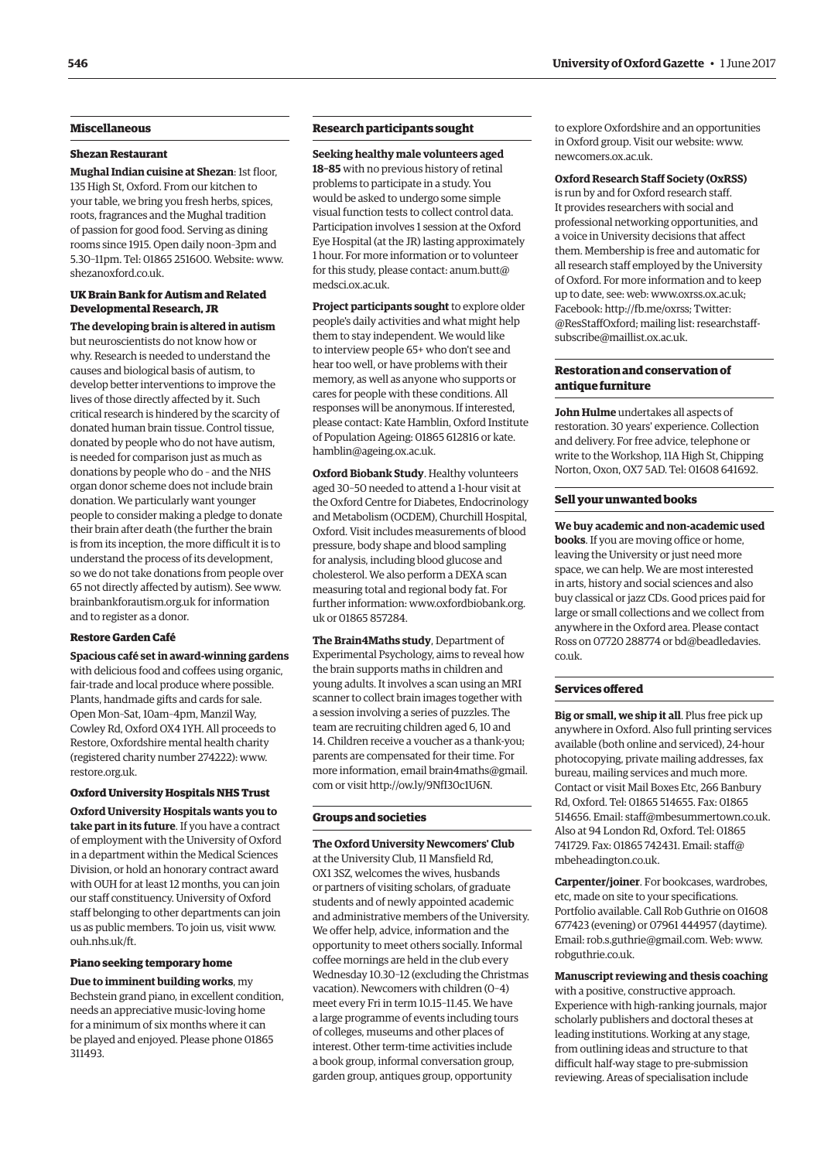# **Miscellaneous**

#### **Shezan Restaurant**

**Mughal Indian cuisine at Shezan**: 1st floor, 135 High St, Oxford. From our kitchen to your table, we bring you fresh herbs, spices, roots, fragrances and the Mughal tradition of passion for good food. Serving as dining rooms since 1915. Open daily noon–3pm and 5.30–11pm. Tel: 01865 251600. Website: [www.](http://www.shezanoxford.co.uk) [shezanoxford.co.uk.](http://www.shezanoxford.co.uk)

# **UK Brain Bank for Autism and Related Developmental Research, JR**

**The developing brain is altered in autism** but neuroscientists do not know how or why. Research is needed to understand the causes and biological basis of autism, to develop better interventions to improve the lives of those directly affected by it. Such critical research is hindered by the scarcity of donated human brain tissue. Control tissue, donated by people who do not have autism, is needed for comparison just as much as donations by people who do – and the NHS organ donor scheme does not include brain donation. We particularly want younger people to consider making a pledge to donate their brain after death (the further the brain is from its inception, the more difficult it is to understand the process of its development, so we do not take donations from people over 65 not directly affected by autism). See [www.](http://www.brainbankforautism.org.uk) [brainbankforautism.org.uk fo](http://www.brainbankforautism.org.uk)r information and to register as a donor.

#### **Restore Garden Café**

**Spacious café set in award-winning gardens** with delicious food and coffees using organic, fair-trade and local produce where possible. Plants, handmade gifts and cards for sale. Open Mon–Sat, 10am–4pm, Manzil Way, Cowley Rd, Oxford OX4 1YH. All proceeds to Restore, Oxfordshire mental health charity (registered charity number 274222): [www.](http://www.restore.org.uk) [restore.org.uk.](http://www.restore.org.uk)

# **Oxford University Hospitals NHS Trust**

**Oxford University Hospitals wants you to take part in its future**. If you have a contract of employment with the University of Oxford in a department within the Medical Sciences Division, or hold an honorary contract award with OUH for at least 12 months, you can join our staff constituency. University of Oxford staff belonging to other departments can join us as public members. To join us, visit [www.](http://www.ouh.nhs.uk/ft) [ouh.nhs.uk/ft.](http://www.ouh.nhs.uk/ft)

#### **Piano seeking temporary home**

**Due to imminent building works**, my Bechstein grand piano, in excellent condition, needs an appreciative music-loving home for a minimum of six months where it can be played and enjoyed. Please phone 01865 311493.

# **Research participants sought**

**Seeking healthy male volunteers aged 18–85** with no previous history of retinal problems to participate in a study. You would be asked to undergo some simple visual function tests to collect control data. Participation involves 1 session at the Oxford Eye Hospital (at the JR) lasting approximately 1 hour. For more information or to volunteer [for this study, please contact: anum.butt@](mailto:anum.butt@medsci.ox.ac.uk) medsci.ox.ac.uk.

**Project participants sought** to explore older people's daily activities and what might help them to stay independent. We would like to interview people 65+ who don't see and hear too well, or have problems with their memory, as well as anyone who supports or cares for people with these conditions. All responses will be anonymous. If interested, please contact: Kate Hamblin, Oxford Institute [of Population Ageing: 01865 612816 or kate.](mailto:kate.hamblin@ageing.ox.ac.uk) hamblin@ageing.ox.ac.uk.

**Oxford Biobank Study**. Healthy volunteers aged 30–50 needed to attend a 1-hour visit at the Oxford Centre for Diabetes, Endocrinology and Metabolism (OCDEM), Churchill Hospital, Oxford. Visit includes measurements of blood pressure, body shape and blood sampling for analysis, including blood glucose and cholesterol. We also perform a DEXA scan measuring total and regional body fat. For [further information: www.oxfordbiobank.org.](www.oxfordbiobank.org.uk) uk or 01865 857284.

**The Brain4Maths study**, Department of Experimental Psychology, aims to reveal how the brain supports maths in children and young adults. It involves a scan using an MRI scanner to collect brain images together with a session involving a series of puzzles. The team are recruiting children aged 6, 10 and 14. Children receive a voucher as a thank-you; parents are compensated for their time. For more informati[on, email brain4maths@gmail.](mailto:brain4maths@gmail.com) com or visit [http://ow.ly/9NfI30c1U6N.](http://ow.ly/9NfI30c1U6N)

#### **Groups and societies**

**The Oxford University Newcomers' Club** at the University Club, 11 Mansfield Rd, OX1 3SZ, welcomes the wives, husbands or partners of visiting scholars, of graduate students and of newly appointed academic and administrative members of the University. We offer help, advice, information and the opportunity to meet others socially. Informal coffee mornings are held in the club every Wednesday 10.30–12 (excluding the Christmas vacation). Newcomers with children (0–4) meet every Fri in term 10.15–11.45. We have a large programme of events including tours of colleges, museums and other places of interest. Other term-time activities include a book group, informal conversation group, garden group, antiques group, opportunity

to explore Oxfordshire and an opportunities in Oxford group. Visit our website: [www.](http://www.newcomers.ox.ac.uk) [newcomers.ox.ac.uk.](http://www.newcomers.ox.ac.uk)

#### **Oxford Research Staff Society (OxRSS)**

is run by and for Oxford research staff. It provides researchers with social and professional networking opportunities, and a voice in University decisions that affect them. Membership is free and automatic for all research staff employed by the University of Oxford. For more information and to keep up to date, see: web: [www.oxrss.ox.ac.uk;](http://www.oxrss.ox.ac.uk)  Facebook: [http://fb.me/oxrss; Tw](http://fb.me/oxrss)itter: @ResStaffOxford; mailing list: researchstaff[subscribe@maillist.ox.ac.uk.](mailto:researchstaff-subscribe@maillist.ox.ac.uk)

# **Restoration and conservation of antique furniture**

**John Hulme** undertakes all aspects of restoration. 30 years' experience. Collection and delivery. For free advice, telephone or write to the Workshop, 11A High St, Chipping Norton, Oxon, OX7 5AD. Tel: 01608 641692.

#### **Sell your unwanted books**

**We buy academic and non-academic used books**. If you are moving office or home, leaving the University or just need more space, we can help. We are most interested in arts, history and social sciences and also buy classical or jazz CDs. Good prices paid for large or small collections and we collect from anywhere in the Oxford area. Please contact [Ross on 07720 288774 or bd@beadledavies.](mailto:bd@beadledavies.co.uk) co.uk.

#### **Services offered**

**Big or small, we ship it all**. Plus free pick up anywhere in Oxford. Also full printing services available (both online and serviced), 24-hour photocopying, private mailing addresses, fax bureau, mailing services and much more. Contact or visit Mail Boxes Etc, 266 Banbury Rd, Oxford. Tel: 01865 514655. Fax: 01865 514656. Email: [staff@mbesummertown.co.uk.](mailto:staff@mbesummertown.co.uk)  Also at 94 London Rd, Oxford. Tel: 01865 [741729. Fax: 01865 742431. Email: staff@](mailto:staff@mbeheadington.co.uk) mbeheadington.co.uk.

**Carpenter/joiner**. For bookcases, wardrobes, etc, made on site to your specifications. Portfolio available. Call Rob Guthrie on 01608 677423 (evening) or 07961 444957 (daytime). Email: [rob.s.guthrie@gmail.com. W](mailto:rob.s.guthrie@gmail.com)eb: [www.](http://www.robguthrie.co.uk) [robguthrie.co.uk.](http://www.robguthrie.co.uk)

#### **Manuscript reviewing and thesis coaching**

with a positive, constructive approach. Experience with high-ranking journals, major scholarly publishers and doctoral theses at leading institutions. Working at any stage, from outlining ideas and structure to that difficult half-way stage to pre-submission reviewing. Areas of specialisation include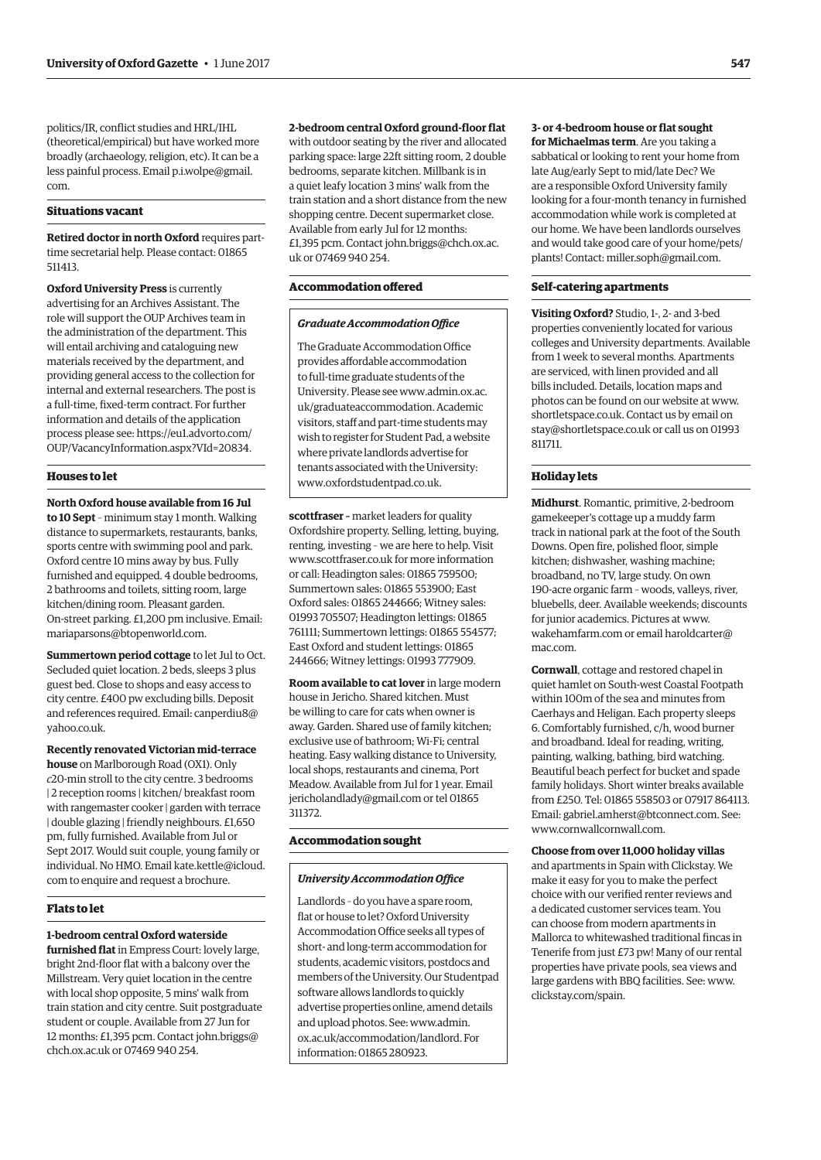politics/IR, conflict studies and HRL/IHL (theoretical/empirical) but have worked more broadly (archaeology, religion, etc). It can be a [less painful process. Email p.i.wolpe@gmail.](mailto:p.i.wolpe@gmail.com) com.

#### **Situations vacant**

**Retired doctor in north Oxford** requires parttime secretarial help. Please contact: 01865 511413.

**Oxford University Press** is currently advertising for an Archives Assistant. The role will support the OUP Archives team in the administration of the department. This will entail archiving and cataloguing new materials received by the department, and providing general access to the collection for internal and external researchers. The post is a full-time, fixed-term contract. For further information and details of the application [process please see: https://eu1.advorto.com/](https://eu1.advorto.com/OUP/VacancyInformation.aspx?VId=20834) OUP/VacancyInformation.aspx?VId=20834.

# **Houses to let**

**North Oxford house available from 16 Jul to 10 Sept** – minimum stay 1 month. Walking distance to supermarkets, restaurants, banks, sports centre with swimming pool and park. Oxford centre 10 mins away by bus. Fully furnished and equipped. 4 double bedrooms, 2 bathrooms and toilets, sitting room, large kitchen/dining room. Pleasant garden. On-street parking. £1,200 pm inclusive. Email: [mariaparsons@btopenworld.com.](mailto:mariaparsons@btopenworld.com)

**Summertown period cottage** to let Jul to Oct. Secluded quiet location. 2 beds, sleeps 3 plus guest bed. Close to shops and easy access to city centre. £400 pw excluding bills. Deposit [and references required. Email: canperdiu8@](mailto:canperdiu8@yahoo.co.uk) yahoo.co.uk.

**Recently renovated Victorian mid-terrace house** on Marlborough Road (OX1). Only *c*20-min stroll to the city centre. 3 bedrooms | 2 reception rooms | kitchen/ breakfast room with rangemaster cooker | garden with terrace | double glazing | friendly neighbours. £1,650 pm, fully furnished. Available from Jul or Sept 2017. Would suit couple, young family or [individual. No HMO. Email kate.kettle@icloud.](mailto:kate.kettle@icloud.com) com to enquire and request a brochure.

#### **Flats to let**

#### **1-bedroom central Oxford waterside**

**furnished flat** in Empress Court: lovely large, bright 2nd-floor flat with a balcony over the Millstream. Very quiet location in the centre with local shop opposite, 5 mins' walk from train station and city centre. Suit postgraduate student or couple. Available from 27 Jun for [12 months: £1,395 pcm. Contact john.briggs@](mailto:john.briggs@chch.ox.ac.uk) chch.ox.ac.uk or 07469 940 254.

**2-bedroom central Oxford ground-floor flat**

with outdoor seating by the river and allocated parking space: large 22ft sitting room, 2 double bedrooms, separate kitchen. Millbank is in a quiet leafy location 3 mins' walk from the train station and a short distance from the new shopping centre. Decent supermarket close. Available from early Jul for 12 months: [£1,395 pcm. Contact john.briggs@chch.ox.ac.](mailto:john.briggs@chch.ox.ac.uk) uk or 07469 940 254.

# **Accommodation offered**

#### *Graduate Accommodation Office*

The Graduate Accommodation Office provides affordable accommodation to full-time graduate students of the [University. Please see www.admin.ox.ac.](www.admin.ox.ac.uk/graduateaccommodation) uk/graduateaccommodation. Academic visitors, staff and part-time students may wish to register for Student Pad, a website where private landlords advertise for tenants associated with the University: [www.oxfordstudentpad.co.uk.](http://www.oxfordstudentpad.co.uk)

**scottfraser –** market leaders for quality Oxfordshire property. Selling, letting, buying, renting, investing – we are here to help. Visit [www.scottfraser.co.uk fo](http://www.scottfraser.co.uk)r more information or call: Headington sales: 01865 759500; Summertown sales: 01865 553900; East Oxford sales: 01865 244666; Witney sales: 01993 705507; Headington lettings: 01865 761111; Summertown lettings: 01865 554577; East Oxford and student lettings: 01865 244666; Witney lettings: 01993 777909.

**Room available to cat lover** in large modern house in Jericho. Shared kitchen. Must be willing to care for cats when owner is away. Garden. Shared use of family kitchen; exclusive use of bathroom; Wi-Fi; central heating. Easy walking distance to University, local shops, restaurants and cinema, Port Meadow. Available from Jul for 1 year. Email [jericholandlady@gmail.com or](mailto:jericholandlady@gmail.com) tel 01865 311372.

#### **Accommodation sought**

#### *University Accommodation Office*

Landlords – do you have a spare room, flat or house to let? Oxford University Accommodation Office seeks all types of short- and long-term accommodation for students, academic visitors, postdocs and members of the University. Our Studentpad software allows landlords to quickly advertise properties online, amend details and upload photos. See: www.admin. [ox.ac.uk/accommodation/landlord. For](www.admin.ox.ac.uk/accommodation/landlord)  information: 01865 280923.

# **3- or 4-bedroom house or flat sought**

**for Michaelmas term**. Are you taking a sabbatical or looking to rent your home from late Aug/early Sept to mid/late Dec? We are a responsible Oxford University family looking for a four-month tenancy in furnished accommodation while work is completed at our home. We have been landlords ourselves and would take good care of your home/pets/ plants! Contact: [miller.soph@gmail.com.](mailto:miller.soph@gmail.com)

#### **Self-catering apartments**

**Visiting Oxford?** Studio, 1-, 2- and 3-bed properties conveniently located for various colleges and University departments. Available from 1 week to several months. Apartments are serviced, with linen provided and all bills included. Details, location maps and photos can be found on our website at [www.](http://www.shortletspace.co.uk) [shortletspace.co.uk. Co](http://www.shortletspace.co.uk)ntact us by email on [stay@shortletspace.co.uk or](mailto:stay@shortletspace.co.uk) call us on 01993 811711.

#### **Holiday lets**

**Midhurst**. Romantic, primitive, 2-bedroom gamekeeper's cottage up a muddy farm track in national park at the foot of the South Downs. Open fire, polished floor, simple kitchen; dishwasher, washing machine; broadband, no TV, large study. On own 190-acre organic farm – woods, valleys, river, bluebells, deer. Available weekends; discounts for junior academics. Pictures at [www.](http://www.wakehamfarm.com) [wakehamfarm.com or](http://www.wakehamfarm.com) [email haroldcarter@](mailto:haroldcarter@mac.com) mac.com.

**Cornwall**, cottage and restored chapel in quiet hamlet on South-west Coastal Footpath within 100m of the sea and minutes from Caerhays and Heligan. Each property sleeps 6. Comfortably furnished, c/h, wood burner and broadband. Ideal for reading, writing, painting, walking, bathing, bird watching. Beautiful beach perfect for bucket and spade family holidays. Short winter breaks available from £250. Tel: 01865 558503 or 07917 864113. Email: [gabriel.amherst@btconnect.com. Se](mailto:gabriel.amherst@btconnect.com)e: [www.cornwallcornwall.com.](http://www.cornwallcornwall.com)

#### **Choose from over 11,000 holiday villas**

and apartments in Spain with Clickstay. We make it easy for you to make the perfect choice with our verified renter reviews and a dedicated customer services team. You can choose from modern apartments in Mallorca to whitewashed traditional fincas in Tenerife from just £73 pw! Many of our rental properties have private pools, sea views and large gardens with BBQ facilities. See: [www.](http://www.clickstay.com/spain) [clickstay.com/spain.](http://www.clickstay.com/spain)